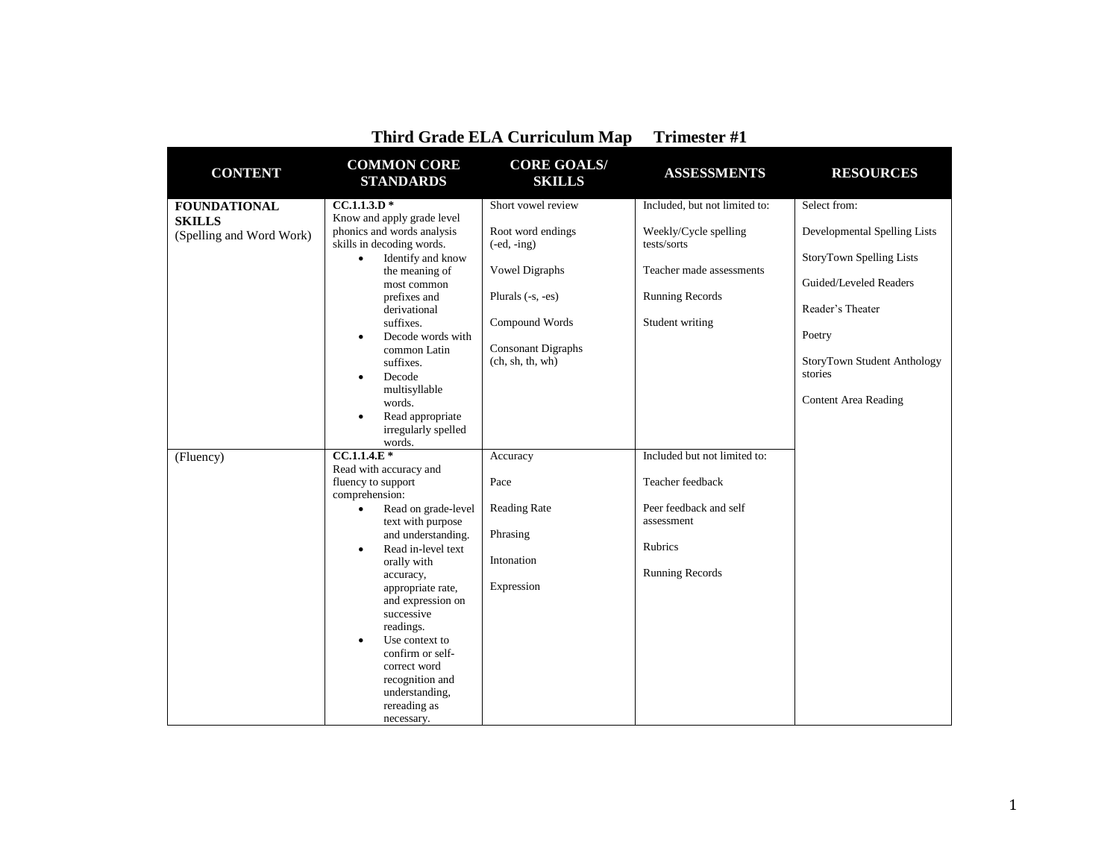| <b>CONTENT</b>                            | <b>COMMON CORE</b><br><b>STANDARDS</b>                                                                                                                                                                                                                                                                                                                  | <b>CORE GOALS/</b><br><b>SKILLS</b>                                                                                                            | <b>ASSESSMENTS</b>                                                                                     | <b>RESOURCES</b>                                                                                                                                                                                 |
|-------------------------------------------|---------------------------------------------------------------------------------------------------------------------------------------------------------------------------------------------------------------------------------------------------------------------------------------------------------------------------------------------------------|------------------------------------------------------------------------------------------------------------------------------------------------|--------------------------------------------------------------------------------------------------------|--------------------------------------------------------------------------------------------------------------------------------------------------------------------------------------------------|
| <b>FOUNDATIONAL</b>                       | $CC.1.1.3.D*$                                                                                                                                                                                                                                                                                                                                           | Short vowel review                                                                                                                             | Included, but not limited to:                                                                          | Select from:                                                                                                                                                                                     |
| <b>SKILLS</b><br>(Spelling and Word Work) | Know and apply grade level<br>phonics and words analysis<br>skills in decoding words.<br>Identify and know<br>$\bullet$<br>the meaning of<br>most common<br>prefixes and<br>derivational<br>suffixes.<br>Decode words with<br>$\bullet$<br>common Latin<br>suffixes.<br>Decode<br>$\bullet$<br>multisyllable<br>words.<br>Read appropriate<br>$\bullet$ | Root word endings<br>$(-ed, -ing)$<br>Vowel Digraphs<br>Plurals $(-s, -es)$<br>Compound Words<br><b>Consonant Digraphs</b><br>(ch, sh, th, wh) | Weekly/Cycle spelling<br>tests/sorts<br>Teacher made assessments<br>Running Records<br>Student writing | Developmental Spelling Lists<br><b>StoryTown Spelling Lists</b><br>Guided/Leveled Readers<br>Reader's Theater<br>Poetry<br>StoryTown Student Anthology<br>stories<br><b>Content Area Reading</b> |
|                                           | irregularly spelled<br>words.                                                                                                                                                                                                                                                                                                                           |                                                                                                                                                |                                                                                                        |                                                                                                                                                                                                  |
| (Fluency)                                 | $CC.1.1.4.E*$                                                                                                                                                                                                                                                                                                                                           | Accuracy                                                                                                                                       | Included but not limited to:                                                                           |                                                                                                                                                                                                  |
|                                           | Read with accuracy and<br>fluency to support<br>comprehension:                                                                                                                                                                                                                                                                                          | Pace                                                                                                                                           | Teacher feedback                                                                                       |                                                                                                                                                                                                  |
|                                           | Read on grade-level<br>$\bullet$                                                                                                                                                                                                                                                                                                                        | <b>Reading Rate</b>                                                                                                                            | Peer feedback and self                                                                                 |                                                                                                                                                                                                  |
|                                           | text with purpose<br>and understanding.<br>Read in-level text<br>$\bullet$<br>orally with<br>accuracy,<br>appropriate rate,<br>and expression on<br>successive<br>readings.<br>Use context to<br>$\bullet$<br>confirm or self-<br>correct word<br>recognition and<br>understanding,<br>rereading as<br>necessary.                                       | Phrasing<br>Intonation<br>Expression                                                                                                           | assessment<br><b>Rubrics</b><br><b>Running Records</b>                                                 |                                                                                                                                                                                                  |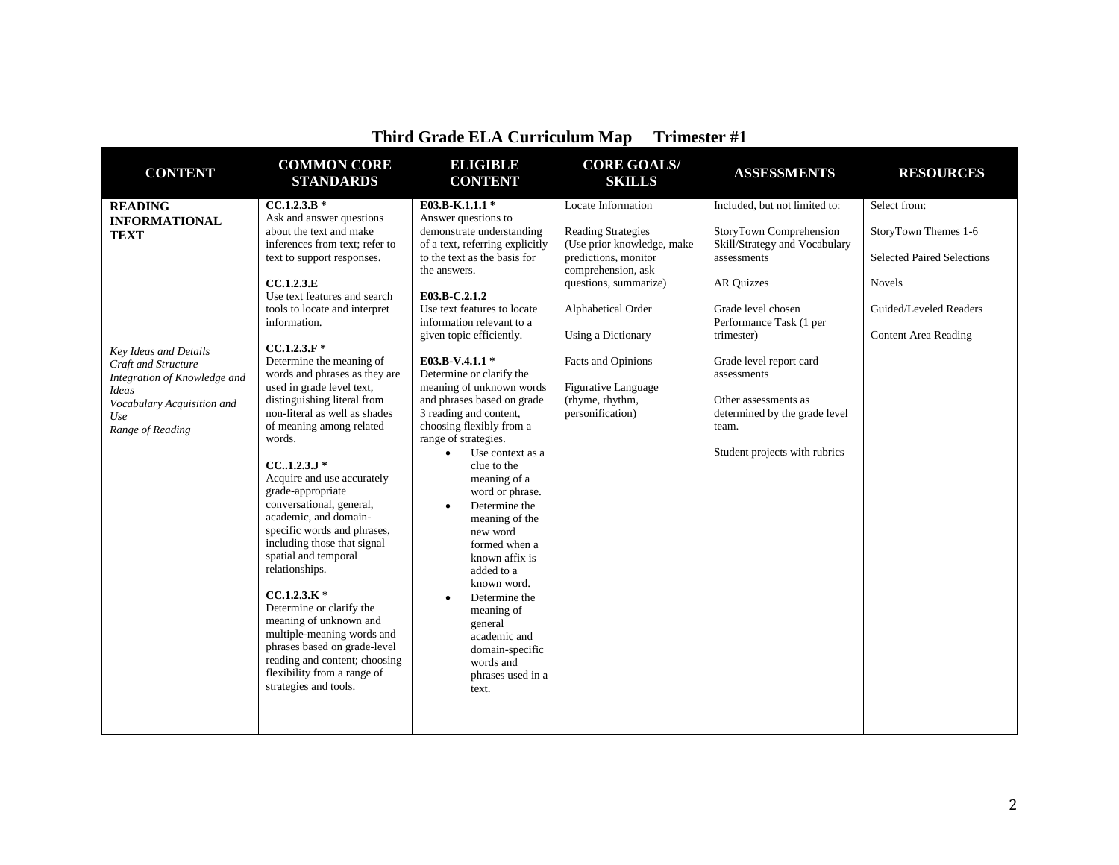| <b>CONTENT</b>                                                                                                                                                                                                 | <b>COMMON CORE</b><br><b>STANDARDS</b>                                                                                                                                                                                                                                                                                                                                                                                                                                                                                                                                                                                                                                                                                                                                                                                                                                                                             | <b>ELIGIBLE</b><br><b>CONTENT</b>                                                                                                                                                                                                                                                                                                                                                                                                                                                                                                                                                                                                                                                                                                                                                                         | <b>CORE GOALS/</b><br><b>SKILLS</b>                                                                                                                                                                                                                                                         | <b>ASSESSMENTS</b>                                                                                                                                                                                                                                                                                                                        | <b>RESOURCES</b>                                                                                                                                    |
|----------------------------------------------------------------------------------------------------------------------------------------------------------------------------------------------------------------|--------------------------------------------------------------------------------------------------------------------------------------------------------------------------------------------------------------------------------------------------------------------------------------------------------------------------------------------------------------------------------------------------------------------------------------------------------------------------------------------------------------------------------------------------------------------------------------------------------------------------------------------------------------------------------------------------------------------------------------------------------------------------------------------------------------------------------------------------------------------------------------------------------------------|-----------------------------------------------------------------------------------------------------------------------------------------------------------------------------------------------------------------------------------------------------------------------------------------------------------------------------------------------------------------------------------------------------------------------------------------------------------------------------------------------------------------------------------------------------------------------------------------------------------------------------------------------------------------------------------------------------------------------------------------------------------------------------------------------------------|---------------------------------------------------------------------------------------------------------------------------------------------------------------------------------------------------------------------------------------------------------------------------------------------|-------------------------------------------------------------------------------------------------------------------------------------------------------------------------------------------------------------------------------------------------------------------------------------------------------------------------------------------|-----------------------------------------------------------------------------------------------------------------------------------------------------|
| <b>READING</b><br><b>INFORMATIONAL</b><br><b>TEXT</b><br><b>Key Ideas and Details</b><br>Craft and Structure<br>Integration of Knowledge and<br>Ideas<br>Vocabulary Acquisition and<br>Use<br>Range of Reading | $CC.1.2.3.B*$<br>Ask and answer questions<br>about the text and make<br>inferences from text: refer to<br>text to support responses.<br>CC.1.2.3.E<br>Use text features and search<br>tools to locate and interpret<br>information.<br>$CC.1.2.3.F*$<br>Determine the meaning of<br>words and phrases as they are<br>used in grade level text,<br>distinguishing literal from<br>non-literal as well as shades<br>of meaning among related<br>words.<br>$CC.1.2.3.J*$<br>Acquire and use accurately<br>grade-appropriate<br>conversational, general,<br>academic, and domain-<br>specific words and phrases,<br>including those that signal<br>spatial and temporal<br>relationships.<br>$CCA.2.3.K*$<br>Determine or clarify the<br>meaning of unknown and<br>multiple-meaning words and<br>phrases based on grade-level<br>reading and content; choosing<br>flexibility from a range of<br>strategies and tools. | E03.B-K.1.1.1*<br>Answer questions to<br>demonstrate understanding<br>of a text, referring explicitly<br>to the text as the basis for<br>the answers.<br>E03.B-C.2.1.2<br>Use text features to locate<br>information relevant to a<br>given topic efficiently.<br>E03.B-V.4.1.1 *<br>Determine or clarify the<br>meaning of unknown words<br>and phrases based on grade<br>3 reading and content,<br>choosing flexibly from a<br>range of strategies.<br>Use context as a<br>$\bullet$<br>clue to the<br>meaning of a<br>word or phrase.<br>Determine the<br>$\bullet$<br>meaning of the<br>new word<br>formed when a<br>known affix is<br>added to a<br>known word.<br>Determine the<br>$\bullet$<br>meaning of<br>general<br>academic and<br>domain-specific<br>words and<br>phrases used in a<br>text. | Locate Information<br><b>Reading Strategies</b><br>(Use prior knowledge, make<br>predictions, monitor<br>comprehension, ask<br>questions, summarize)<br>Alphabetical Order<br>Using a Dictionary<br>Facts and Opinions<br><b>Figurative Language</b><br>(rhyme, rhythm,<br>personification) | Included, but not limited to:<br>StoryTown Comprehension<br>Skill/Strategy and Vocabulary<br>assessments<br><b>AR Ouizzes</b><br>Grade level chosen<br>Performance Task (1 per<br>trimester)<br>Grade level report card<br>assessments<br>Other assessments as<br>determined by the grade level<br>team.<br>Student projects with rubrics | Select from:<br>StoryTown Themes 1-6<br><b>Selected Paired Selections</b><br><b>Novels</b><br>Guided/Leveled Readers<br><b>Content Area Reading</b> |
|                                                                                                                                                                                                                |                                                                                                                                                                                                                                                                                                                                                                                                                                                                                                                                                                                                                                                                                                                                                                                                                                                                                                                    |                                                                                                                                                                                                                                                                                                                                                                                                                                                                                                                                                                                                                                                                                                                                                                                                           |                                                                                                                                                                                                                                                                                             |                                                                                                                                                                                                                                                                                                                                           |                                                                                                                                                     |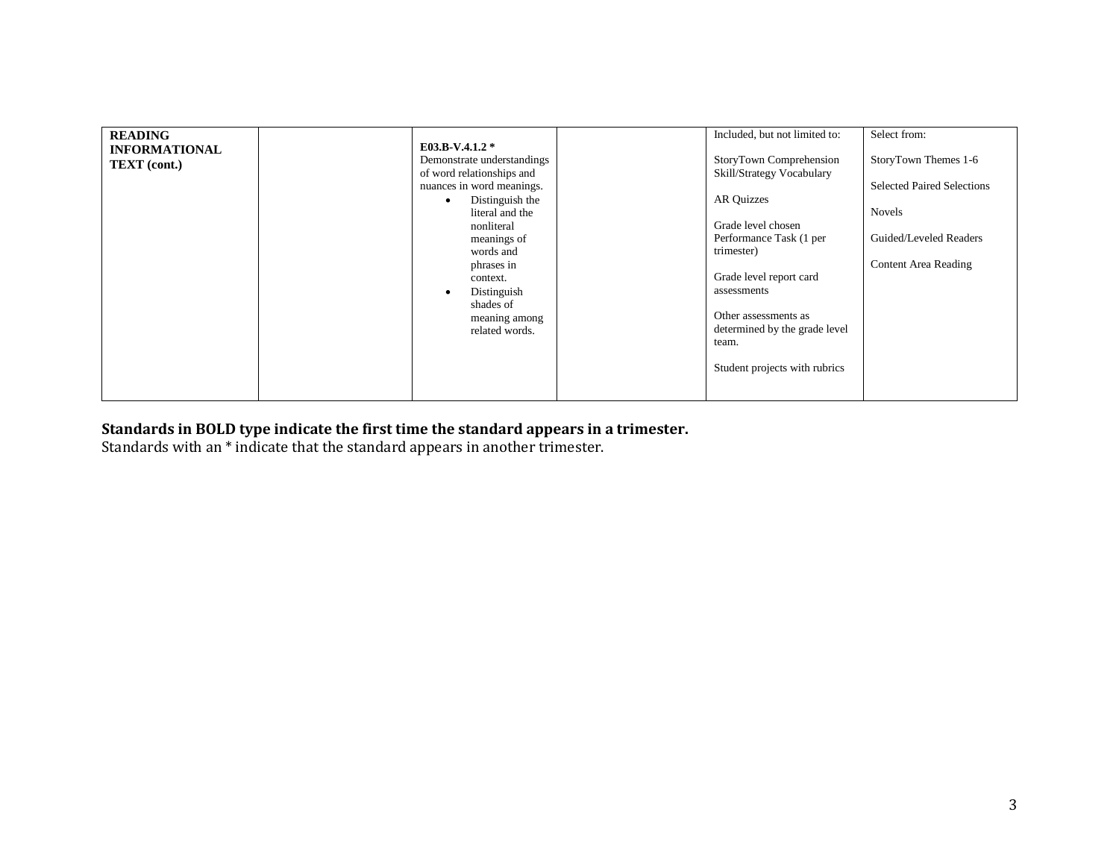| <b>READING</b><br><b>INFORMATIONAL</b><br><b>TEXT</b> (cont.) | E03.B-V.4.1.2 *<br>Demonstrate understandings<br>of word relationships and<br>nuances in word meanings.<br>Distinguish the<br>$\bullet$<br>literal and the<br>nonliteral<br>meanings of<br>words and<br>phrases in<br>context.<br>Distinguish<br>shades of<br>meaning among<br>related words. | Included, but not limited to:<br>StoryTown Comprehension<br>Skill/Strategy Vocabulary<br><b>AR Quizzes</b><br>Grade level chosen<br>Performance Task (1 per<br>trimester)<br>Grade level report card<br>assessments<br>Other assessments as<br>determined by the grade level<br>team.<br>Student projects with rubrics | Select from:<br>StoryTown Themes 1-6<br><b>Selected Paired Selections</b><br><b>Novels</b><br>Guided/Leveled Readers<br>Content Area Reading |
|---------------------------------------------------------------|-----------------------------------------------------------------------------------------------------------------------------------------------------------------------------------------------------------------------------------------------------------------------------------------------|------------------------------------------------------------------------------------------------------------------------------------------------------------------------------------------------------------------------------------------------------------------------------------------------------------------------|----------------------------------------------------------------------------------------------------------------------------------------------|
|---------------------------------------------------------------|-----------------------------------------------------------------------------------------------------------------------------------------------------------------------------------------------------------------------------------------------------------------------------------------------|------------------------------------------------------------------------------------------------------------------------------------------------------------------------------------------------------------------------------------------------------------------------------------------------------------------------|----------------------------------------------------------------------------------------------------------------------------------------------|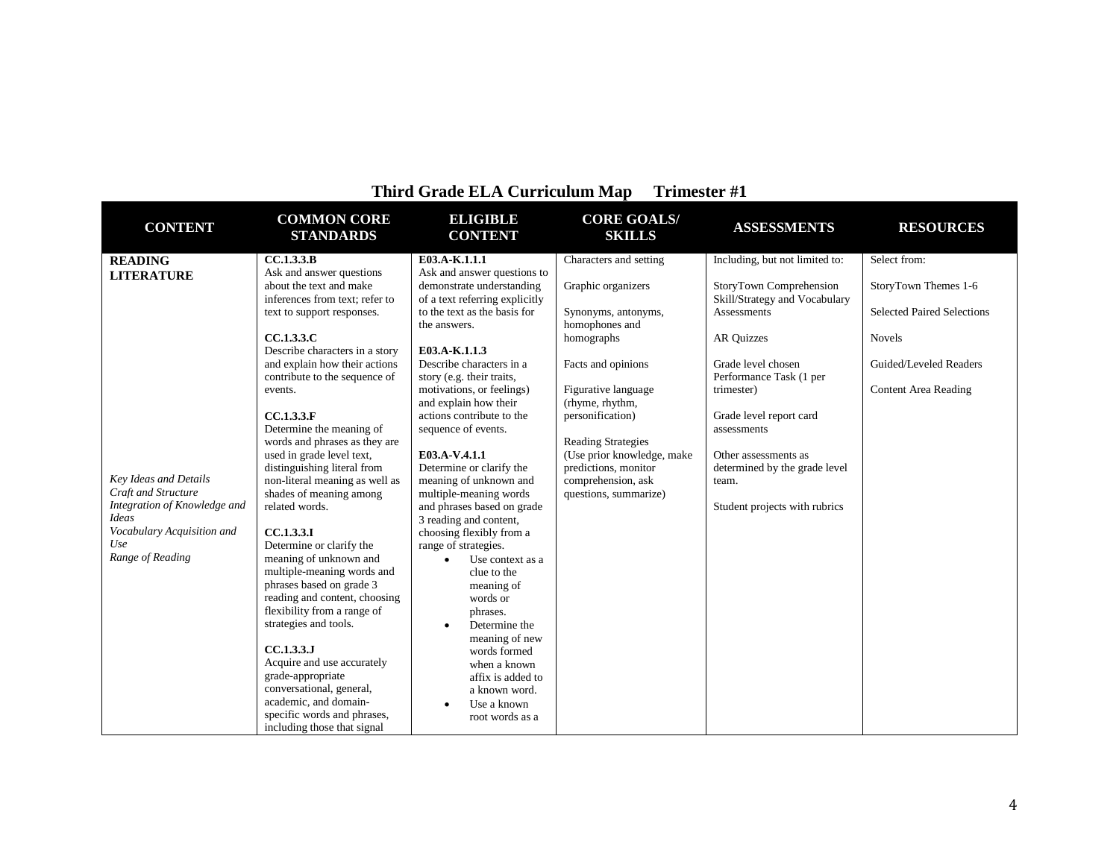| <b>CONTENT</b>                                      | <b>COMMON CORE</b><br><b>STANDARDS</b>        | <b>ELIGIBLE</b><br><b>CONTENT</b>                    | <b>CORE GOALS/</b><br><b>SKILLS</b> | <b>ASSESSMENTS</b>             | <b>RESOURCES</b>                  |
|-----------------------------------------------------|-----------------------------------------------|------------------------------------------------------|-------------------------------------|--------------------------------|-----------------------------------|
| <b>READING</b>                                      | CC.1.3.3.B                                    | E03.A-K.1.1.1                                        | Characters and setting              | Including, but not limited to: | Select from:                      |
| <b>LITERATURE</b>                                   | Ask and answer questions                      | Ask and answer questions to                          |                                     |                                |                                   |
|                                                     | about the text and make                       | demonstrate understanding                            | Graphic organizers                  | StoryTown Comprehension        | StoryTown Themes 1-6              |
|                                                     | inferences from text; refer to                | of a text referring explicitly                       |                                     | Skill/Strategy and Vocabulary  |                                   |
|                                                     | text to support responses.                    | to the text as the basis for                         | Synonyms, antonyms,                 | <b>Assessments</b>             | <b>Selected Paired Selections</b> |
|                                                     | CC.1.3.3.C                                    | the answers.                                         | homophones and                      | <b>AR Quizzes</b>              |                                   |
|                                                     | Describe characters in a story                | E03.A-K.1.1.3                                        | homographs                          |                                | <b>Novels</b>                     |
|                                                     | and explain how their actions                 | Describe characters in a                             | Facts and opinions                  | Grade level chosen             | Guided/Leveled Readers            |
|                                                     | contribute to the sequence of                 | story (e.g. their traits,                            |                                     | Performance Task (1 per        |                                   |
|                                                     | events.                                       | motivations, or feelings)                            | Figurative language                 | trimester)                     | <b>Content Area Reading</b>       |
|                                                     |                                               | and explain how their                                | (rhyme, rhythm,                     |                                |                                   |
|                                                     | CC.1.3.3.F                                    | actions contribute to the                            | personification)                    | Grade level report card        |                                   |
|                                                     | Determine the meaning of                      | sequence of events.                                  |                                     | assessments                    |                                   |
|                                                     | words and phrases as they are                 |                                                      | <b>Reading Strategies</b>           |                                |                                   |
|                                                     | used in grade level text,                     | E03.A-V.4.1.1                                        | (Use prior knowledge, make          | Other assessments as           |                                   |
|                                                     | distinguishing literal from                   | Determine or clarify the                             | predictions, monitor                | determined by the grade level  |                                   |
| Key Ideas and Details                               | non-literal meaning as well as                | meaning of unknown and                               | comprehension, ask                  | team.                          |                                   |
| Craft and Structure<br>Integration of Knowledge and | shades of meaning among                       | multiple-meaning words                               | questions, summarize)               |                                |                                   |
| <b>Ideas</b>                                        | related words.                                | and phrases based on grade<br>3 reading and content, |                                     | Student projects with rubrics  |                                   |
| Vocabulary Acquisition and                          | CC.1.3.3.I                                    | choosing flexibly from a                             |                                     |                                |                                   |
| Use                                                 | Determine or clarify the                      | range of strategies.                                 |                                     |                                |                                   |
| Range of Reading                                    | meaning of unknown and                        | Use context as a<br>$\bullet$                        |                                     |                                |                                   |
|                                                     | multiple-meaning words and                    | clue to the                                          |                                     |                                |                                   |
|                                                     | phrases based on grade 3                      | meaning of                                           |                                     |                                |                                   |
|                                                     | reading and content, choosing                 | words or                                             |                                     |                                |                                   |
|                                                     | flexibility from a range of                   | phrases.                                             |                                     |                                |                                   |
|                                                     | strategies and tools.                         | Determine the<br>$\bullet$                           |                                     |                                |                                   |
|                                                     |                                               | meaning of new                                       |                                     |                                |                                   |
|                                                     | CC.1.3.3.J                                    | words formed                                         |                                     |                                |                                   |
|                                                     | Acquire and use accurately                    | when a known                                         |                                     |                                |                                   |
|                                                     | grade-appropriate<br>conversational, general, | affix is added to                                    |                                     |                                |                                   |
|                                                     | academic, and domain-                         | a known word.                                        |                                     |                                |                                   |
|                                                     | specific words and phrases,                   | Use a known<br>$\bullet$                             |                                     |                                |                                   |
|                                                     | including those that signal                   | root words as a                                      |                                     |                                |                                   |
|                                                     |                                               |                                                      |                                     |                                |                                   |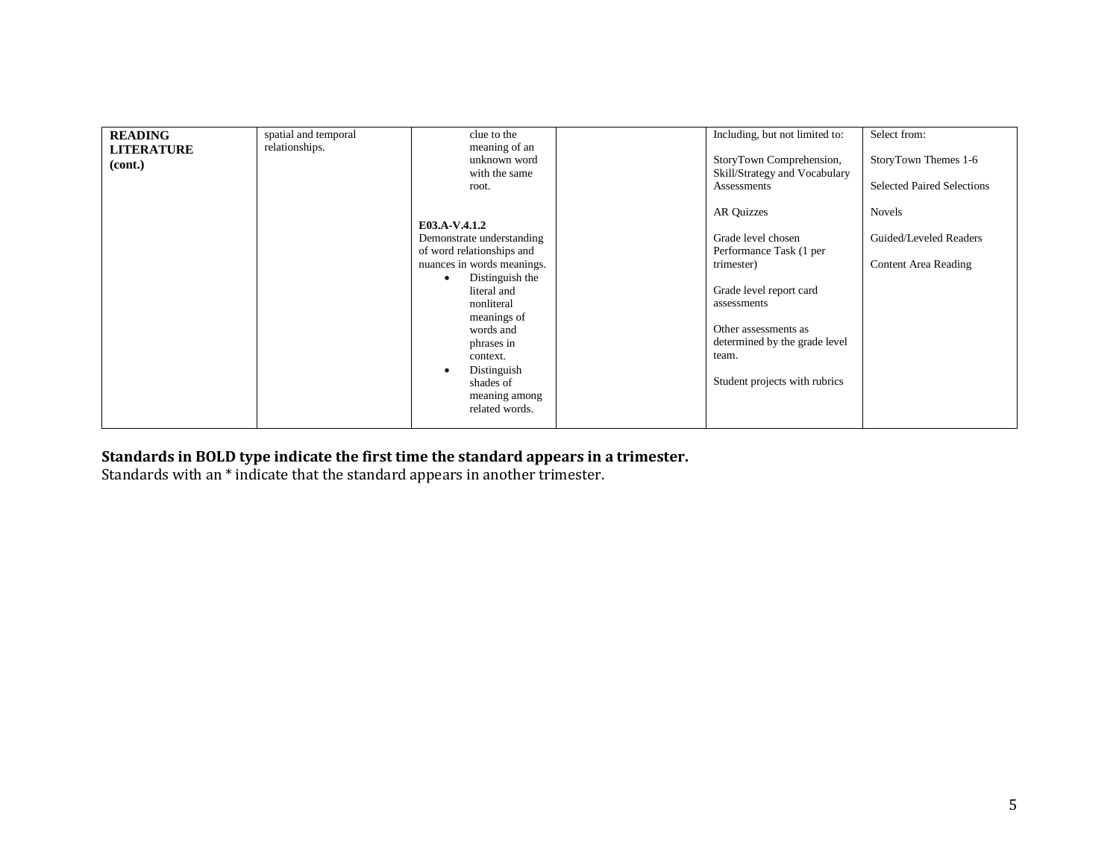| <b>READING</b><br><b>LITERATURE</b><br>(cont.) | spatial and temporal<br>relationships. | clue to the<br>meaning of an<br>unknown word<br>with the same<br>root.                                                                                                                                                                                                     | Including, but not limited to:<br>StoryTown Comprehension,<br>Skill/Strategy and Vocabulary<br>Assessments                                                                                                                    | Select from:<br>StoryTown Themes 1-6<br><b>Selected Paired Selections</b> |
|------------------------------------------------|----------------------------------------|----------------------------------------------------------------------------------------------------------------------------------------------------------------------------------------------------------------------------------------------------------------------------|-------------------------------------------------------------------------------------------------------------------------------------------------------------------------------------------------------------------------------|---------------------------------------------------------------------------|
|                                                |                                        | E03.A-V.4.1.2<br>Demonstrate understanding<br>of word relationships and<br>nuances in words meanings.<br>Distinguish the<br>literal and<br>nonliteral<br>meanings of<br>words and<br>phrases in<br>context.<br>Distinguish<br>shades of<br>meaning among<br>related words. | <b>AR Quizzes</b><br>Grade level chosen<br>Performance Task (1 per<br>trimester)<br>Grade level report card<br>assessments<br>Other assessments as<br>determined by the grade level<br>team.<br>Student projects with rubrics | <b>Novels</b><br>Guided/Leveled Readers<br><b>Content Area Reading</b>    |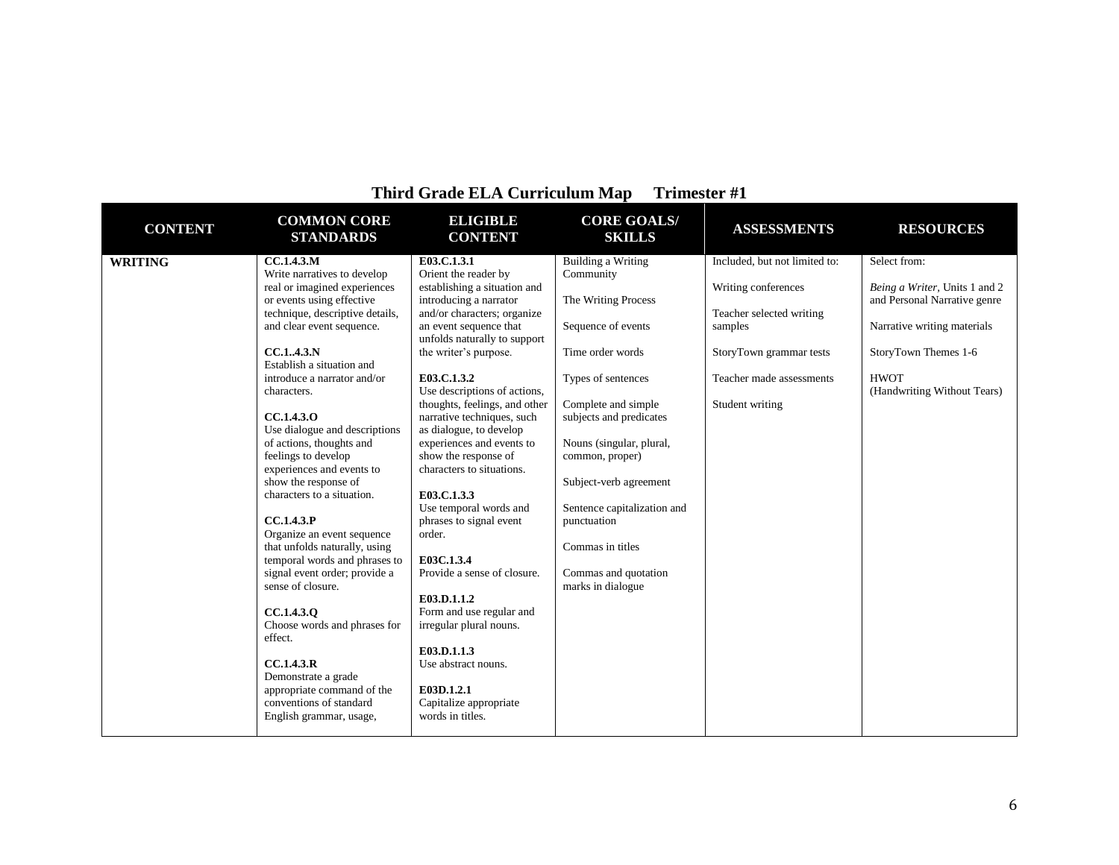| <b>CONTENT</b> | <b>COMMON CORE</b><br><b>STANDARDS</b>                                                                                                                                                                                                                                                                                                                                                                                                                                                                                                                                                                                                                                                                                                                                                                      | <b>ELIGIBLE</b><br><b>CONTENT</b>                                                                                                                                                                                                                                                                                                                                                                                                                                                                                                                                                                                                                                                                                                             | <b>CORE GOALS/</b><br><b>SKILLS</b>                                                                                                                                                                                                                                                                                                                                     | <b>ASSESSMENTS</b>                                                                                                                                                    | <b>RESOURCES</b>                                                                                                                                                                   |
|----------------|-------------------------------------------------------------------------------------------------------------------------------------------------------------------------------------------------------------------------------------------------------------------------------------------------------------------------------------------------------------------------------------------------------------------------------------------------------------------------------------------------------------------------------------------------------------------------------------------------------------------------------------------------------------------------------------------------------------------------------------------------------------------------------------------------------------|-----------------------------------------------------------------------------------------------------------------------------------------------------------------------------------------------------------------------------------------------------------------------------------------------------------------------------------------------------------------------------------------------------------------------------------------------------------------------------------------------------------------------------------------------------------------------------------------------------------------------------------------------------------------------------------------------------------------------------------------------|-------------------------------------------------------------------------------------------------------------------------------------------------------------------------------------------------------------------------------------------------------------------------------------------------------------------------------------------------------------------------|-----------------------------------------------------------------------------------------------------------------------------------------------------------------------|------------------------------------------------------------------------------------------------------------------------------------------------------------------------------------|
| <b>WRITING</b> | CC.1.4.3.M<br>Write narratives to develop<br>real or imagined experiences<br>or events using effective<br>technique, descriptive details,<br>and clear event sequence.<br>CC.1.,4.3.N<br>Establish a situation and<br>introduce a narrator and/or<br>characters.<br>CC.1.4.3.0<br>Use dialogue and descriptions<br>of actions, thoughts and<br>feelings to develop<br>experiences and events to<br>show the response of<br>characters to a situation.<br>CC.1.4.3.P<br>Organize an event sequence<br>that unfolds naturally, using<br>temporal words and phrases to<br>signal event order; provide a<br>sense of closure.<br>CC.1.4.3.0<br>Choose words and phrases for<br>effect.<br>CC.1.4.3.R<br>Demonstrate a grade<br>appropriate command of the<br>conventions of standard<br>English grammar, usage, | E03.C.1.3.1<br>Orient the reader by<br>establishing a situation and<br>introducing a narrator<br>and/or characters; organize<br>an event sequence that<br>unfolds naturally to support<br>the writer's purpose.<br>E03.C.1.3.2<br>Use descriptions of actions,<br>thoughts, feelings, and other<br>narrative techniques, such<br>as dialogue, to develop<br>experiences and events to<br>show the response of<br>characters to situations.<br>E03.C.1.3.3<br>Use temporal words and<br>phrases to signal event<br>order.<br>E03C.1.3.4<br>Provide a sense of closure.<br>E03.D.1.1.2<br>Form and use regular and<br>irregular plural nouns.<br>E03.D.1.1.3<br>Use abstract nouns.<br>E03D.1.2.1<br>Capitalize appropriate<br>words in titles. | <b>Building a Writing</b><br>Community<br>The Writing Process<br>Sequence of events<br>Time order words<br>Types of sentences<br>Complete and simple<br>subjects and predicates<br>Nouns (singular, plural,<br>common, proper)<br>Subject-verb agreement<br>Sentence capitalization and<br>punctuation<br>Commas in titles<br>Commas and quotation<br>marks in dialogue | Included, but not limited to:<br>Writing conferences<br>Teacher selected writing<br>samples<br>StoryTown grammar tests<br>Teacher made assessments<br>Student writing | Select from:<br>Being a Writer, Units 1 and 2<br>and Personal Narrative genre<br>Narrative writing materials<br>StoryTown Themes 1-6<br><b>HWOT</b><br>(Handwriting Without Tears) |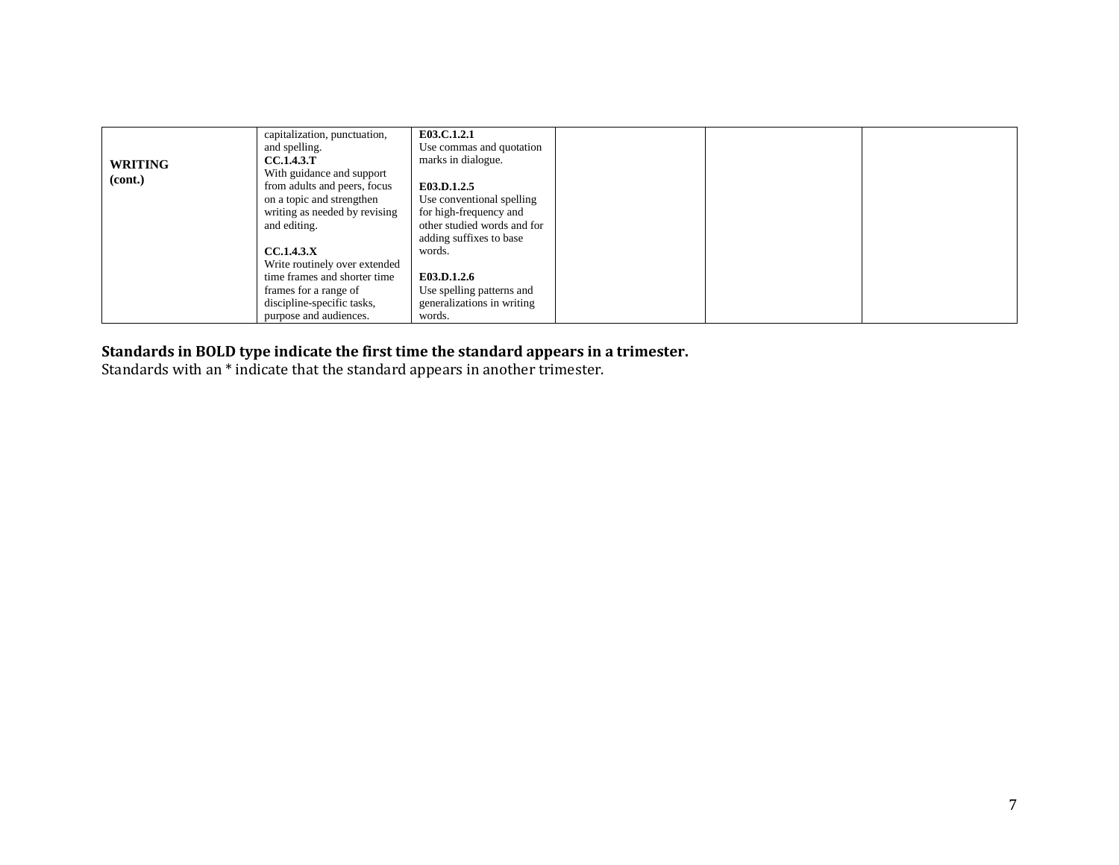|                | capitalization, punctuation,                                  | E03.C.1.2.1                                    |  |  |
|----------------|---------------------------------------------------------------|------------------------------------------------|--|--|
|                | and spelling.<br><b>CC.1.4.3.T</b>                            | Use commas and quotation<br>marks in dialogue. |  |  |
| <b>WRITING</b> | With guidance and support                                     |                                                |  |  |
| (cont.)        | from adults and peers, focus                                  | E03.D.1.2.5                                    |  |  |
|                | on a topic and strengthen                                     | Use conventional spelling                      |  |  |
|                | writing as needed by revising                                 | for high-frequency and                         |  |  |
|                | and editing.                                                  | other studied words and for                    |  |  |
|                |                                                               | adding suffixes to base                        |  |  |
|                | CC.1.4.3.X                                                    | words.                                         |  |  |
|                | Write routinely over extended<br>time frames and shorter time | E03.D.1.2.6                                    |  |  |
|                | frames for a range of                                         | Use spelling patterns and                      |  |  |
|                | discipline-specific tasks,                                    | generalizations in writing                     |  |  |
|                | purpose and audiences.                                        | words.                                         |  |  |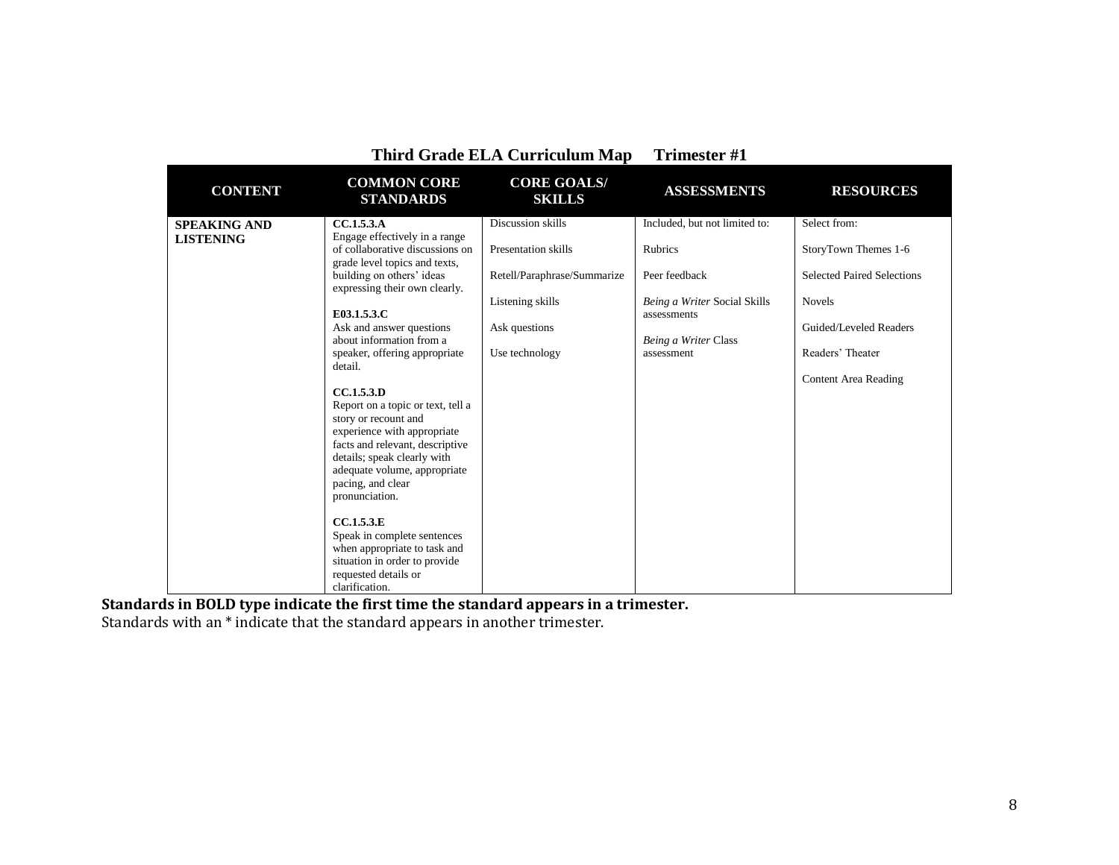|                                         | Third Grade ELA Curriculum Map                                                                                                                                                                                                                                                                                                                                                                                                                                                                                                                                                                                                                                                                             | 1 rimester #1                                                                                                                  |                                                                                                                                                       |                                                                                                                                                                  |
|-----------------------------------------|------------------------------------------------------------------------------------------------------------------------------------------------------------------------------------------------------------------------------------------------------------------------------------------------------------------------------------------------------------------------------------------------------------------------------------------------------------------------------------------------------------------------------------------------------------------------------------------------------------------------------------------------------------------------------------------------------------|--------------------------------------------------------------------------------------------------------------------------------|-------------------------------------------------------------------------------------------------------------------------------------------------------|------------------------------------------------------------------------------------------------------------------------------------------------------------------|
| <b>CONTENT</b>                          | <b>COMMON CORE</b><br><b>STANDARDS</b>                                                                                                                                                                                                                                                                                                                                                                                                                                                                                                                                                                                                                                                                     | <b>CORE GOALS/</b><br><b>SKILLS</b>                                                                                            | <b>ASSESSMENTS</b>                                                                                                                                    | <b>RESOURCES</b>                                                                                                                                                 |
| <b>SPEAKING AND</b><br><b>LISTENING</b> | CC.1.5.3.A<br>Engage effectively in a range<br>of collaborative discussions on<br>grade level topics and texts,<br>building on others' ideas<br>expressing their own clearly.<br>E03.1.5.3.C<br>Ask and answer questions<br>about information from a<br>speaker, offering appropriate<br>detail.<br>CC.1.5.3.D<br>Report on a topic or text, tell a<br>story or recount and<br>experience with appropriate<br>facts and relevant, descriptive<br>details; speak clearly with<br>adequate volume, appropriate<br>pacing, and clear<br>pronunciation.<br>CCA.5.3.E<br>Speak in complete sentences<br>when appropriate to task and<br>situation in order to provide<br>requested details or<br>clarification. | Discussion skills<br>Presentation skills<br>Retell/Paraphrase/Summarize<br>Listening skills<br>Ask questions<br>Use technology | Included, but not limited to:<br><b>Rubrics</b><br>Peer feedback<br>Being a Writer Social Skills<br>assessments<br>Being a Writer Class<br>assessment | Select from:<br>StoryTown Themes 1-6<br>Selected Paired Selections<br><b>Novels</b><br>Guided/Leveled Readers<br>Readers' Theater<br><b>Content Area Reading</b> |

**Standards in BOLD type indicate the first time the standard appears in a trimester.**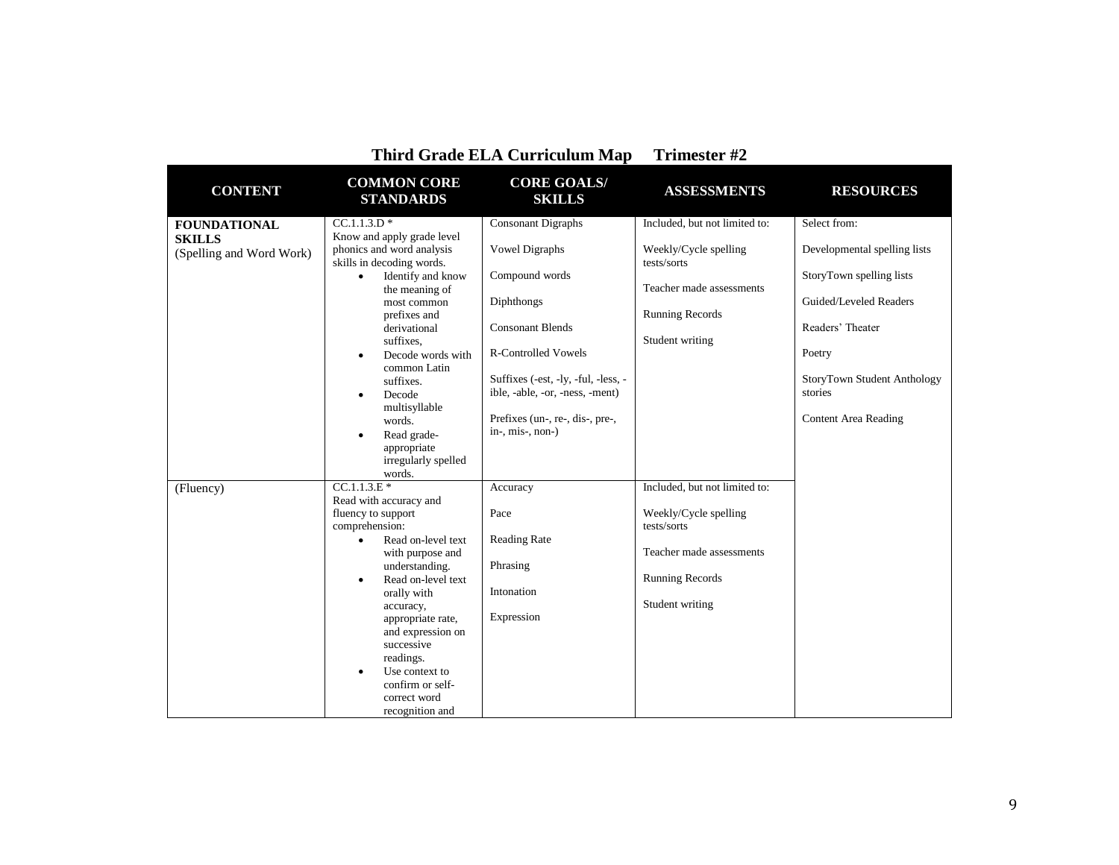|                                                                  | THILU GLAUC ELA CULLICULUM MAP                                                                                                                                                                                                                                                                                                                                                     | <b>ITHESICI</b> $\pi$                                                                                                                                                                    |                                                                                                                                                |                                                                                                     |
|------------------------------------------------------------------|------------------------------------------------------------------------------------------------------------------------------------------------------------------------------------------------------------------------------------------------------------------------------------------------------------------------------------------------------------------------------------|------------------------------------------------------------------------------------------------------------------------------------------------------------------------------------------|------------------------------------------------------------------------------------------------------------------------------------------------|-----------------------------------------------------------------------------------------------------|
| <b>CONTENT</b>                                                   | <b>COMMON CORE</b><br><b>STANDARDS</b>                                                                                                                                                                                                                                                                                                                                             | <b>CORE GOALS/</b><br><b>SKILLS</b>                                                                                                                                                      | <b>ASSESSMENTS</b>                                                                                                                             | <b>RESOURCES</b>                                                                                    |
| <b>FOUNDATIONAL</b><br><b>SKILLS</b><br>(Spelling and Word Work) | $CC.1.1.3.D*$<br>Know and apply grade level<br>phonics and word analysis<br>skills in decoding words.<br>Identify and know<br>$\bullet$<br>the meaning of<br>most common                                                                                                                                                                                                           | <b>Consonant Digraphs</b><br><b>Vowel Digraphs</b><br>Compound words<br>Diphthongs                                                                                                       | Included, but not limited to:<br>Weekly/Cycle spelling<br>tests/sorts<br>Teacher made assessments                                              | Select from:<br>Developmental spelling lists<br>StoryTown spelling lists<br>Guided/Leveled Readers  |
|                                                                  | prefixes and<br>derivational<br>suffixes.<br>Decode words with<br>$\bullet$<br>common Latin<br>suffixes.<br>Decode<br>$\bullet$<br>multisyllable<br>words.<br>Read grade-<br>$\bullet$<br>appropriate<br>irregularly spelled<br>words.                                                                                                                                             | <b>Consonant Blends</b><br><b>R-Controlled Vowels</b><br>Suffixes (-est, -ly, -ful, -less, -<br>ible, -able, -or, -ness, -ment)<br>Prefixes (un-, re-, dis-, pre-,<br>$in-, mis-, non-)$ | <b>Running Records</b><br>Student writing                                                                                                      | Readers' Theater<br>Poetry<br>StoryTown Student Anthology<br>stories<br><b>Content Area Reading</b> |
| (Fluency)                                                        | $CC.1.1.3.E*$<br>Read with accuracy and<br>fluency to support<br>comprehension:<br>Read on-level text<br>$\bullet$<br>with purpose and<br>understanding.<br>Read on-level text<br>$\bullet$<br>orally with<br>accuracy,<br>appropriate rate,<br>and expression on<br>successive<br>readings.<br>Use context to<br>$\bullet$<br>confirm or self-<br>correct word<br>recognition and | Accuracy<br>Pace<br><b>Reading Rate</b><br>Phrasing<br>Intonation<br>Expression                                                                                                          | Included, but not limited to:<br>Weekly/Cycle spelling<br>tests/sorts<br>Teacher made assessments<br><b>Running Records</b><br>Student writing |                                                                                                     |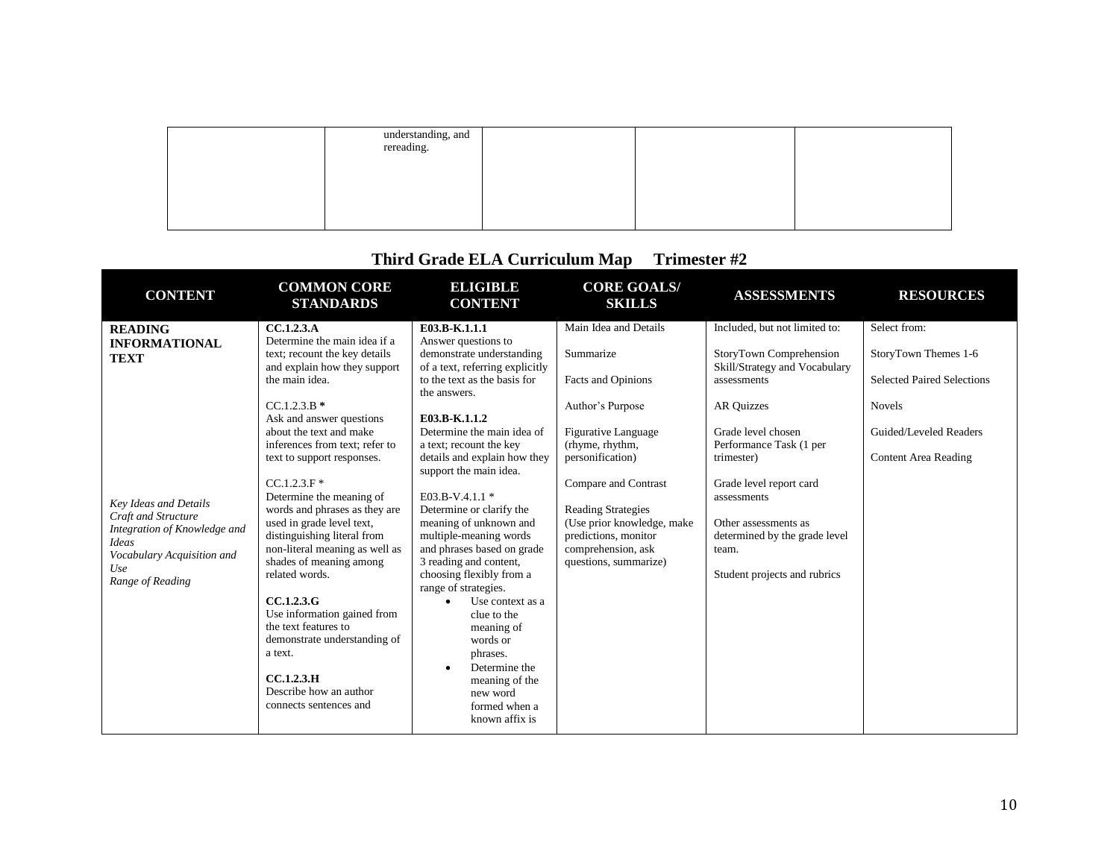| understanding, and<br>rereading. |  |  |
|----------------------------------|--|--|
|                                  |  |  |
|                                  |  |  |
|                                  |  |  |

| <b>CONTENT</b>                                                                                                                                                                                                        | <b>COMMON CORE</b><br><b>STANDARDS</b>                                                                                                                                                                                                                                                                                                                                                                                                                                                                                                                                                                                                                 | <b>ELIGIBLE</b><br><b>CONTENT</b>                                                                                                                                                                                                                                                                                                                                                                                                                                                                                                                                                                                                                         | <b>CORE GOALS/</b><br><b>SKILLS</b>                                                                                                                                                                                                                                                                         | <b>ASSESSMENTS</b>                                                                                                                                                                                                                                                                                                                       | <b>RESOURCES</b>                                                                                                                                    |
|-----------------------------------------------------------------------------------------------------------------------------------------------------------------------------------------------------------------------|--------------------------------------------------------------------------------------------------------------------------------------------------------------------------------------------------------------------------------------------------------------------------------------------------------------------------------------------------------------------------------------------------------------------------------------------------------------------------------------------------------------------------------------------------------------------------------------------------------------------------------------------------------|-----------------------------------------------------------------------------------------------------------------------------------------------------------------------------------------------------------------------------------------------------------------------------------------------------------------------------------------------------------------------------------------------------------------------------------------------------------------------------------------------------------------------------------------------------------------------------------------------------------------------------------------------------------|-------------------------------------------------------------------------------------------------------------------------------------------------------------------------------------------------------------------------------------------------------------------------------------------------------------|------------------------------------------------------------------------------------------------------------------------------------------------------------------------------------------------------------------------------------------------------------------------------------------------------------------------------------------|-----------------------------------------------------------------------------------------------------------------------------------------------------|
| <b>READING</b><br><b>INFORMATIONAL</b><br><b>TEXT</b><br><b>Key Ideas and Details</b><br>Craft and Structure<br>Integration of Knowledge and<br><b>Ideas</b><br>Vocabulary Acquisition and<br>Use<br>Range of Reading | CC.1.2.3.A<br>Determine the main idea if a<br>text; recount the key details<br>and explain how they support<br>the main idea.<br>$CC.1.2.3.B*$<br>Ask and answer questions<br>about the text and make<br>inferences from text; refer to<br>text to support responses.<br>$CC.1.2.3.F*$<br>Determine the meaning of<br>words and phrases as they are<br>used in grade level text,<br>distinguishing literal from<br>non-literal meaning as well as<br>shades of meaning among<br>related words.<br>CC.1.2.3.G<br>Use information gained from<br>the text features to<br>demonstrate understanding of<br>a text.<br>CC.1.2.3.H<br>Describe how an author | E03.B-K.1.1.1<br>Answer questions to<br>demonstrate understanding<br>of a text, referring explicitly<br>to the text as the basis for<br>the answers.<br>E03.B-K.1.1.2<br>Determine the main idea of<br>a text; recount the key<br>details and explain how they<br>support the main idea.<br>E03.B-V.4.1.1 *<br>Determine or clarify the<br>meaning of unknown and<br>multiple-meaning words<br>and phrases based on grade<br>3 reading and content,<br>choosing flexibly from a<br>range of strategies.<br>Use context as a<br>$\bullet$<br>clue to the<br>meaning of<br>words or<br>phrases.<br>Determine the<br>$\bullet$<br>meaning of the<br>new word | Main Idea and Details<br>Summarize<br>Facts and Opinions<br>Author's Purpose<br><b>Figurative Language</b><br>(rhyme, rhythm,<br>personification)<br>Compare and Contrast<br><b>Reading Strategies</b><br>(Use prior knowledge, make<br>predictions, monitor<br>comprehension, ask<br>questions, summarize) | Included, but not limited to:<br>StoryTown Comprehension<br>Skill/Strategy and Vocabulary<br>assessments<br><b>AR Quizzes</b><br>Grade level chosen<br>Performance Task (1 per<br>trimester)<br>Grade level report card<br>assessments<br>Other assessments as<br>determined by the grade level<br>team.<br>Student projects and rubrics | Select from:<br>StoryTown Themes 1-6<br><b>Selected Paired Selections</b><br><b>Novels</b><br>Guided/Leveled Readers<br><b>Content Area Reading</b> |
|                                                                                                                                                                                                                       | connects sentences and                                                                                                                                                                                                                                                                                                                                                                                                                                                                                                                                                                                                                                 | formed when a<br>known affix is                                                                                                                                                                                                                                                                                                                                                                                                                                                                                                                                                                                                                           |                                                                                                                                                                                                                                                                                                             |                                                                                                                                                                                                                                                                                                                                          |                                                                                                                                                     |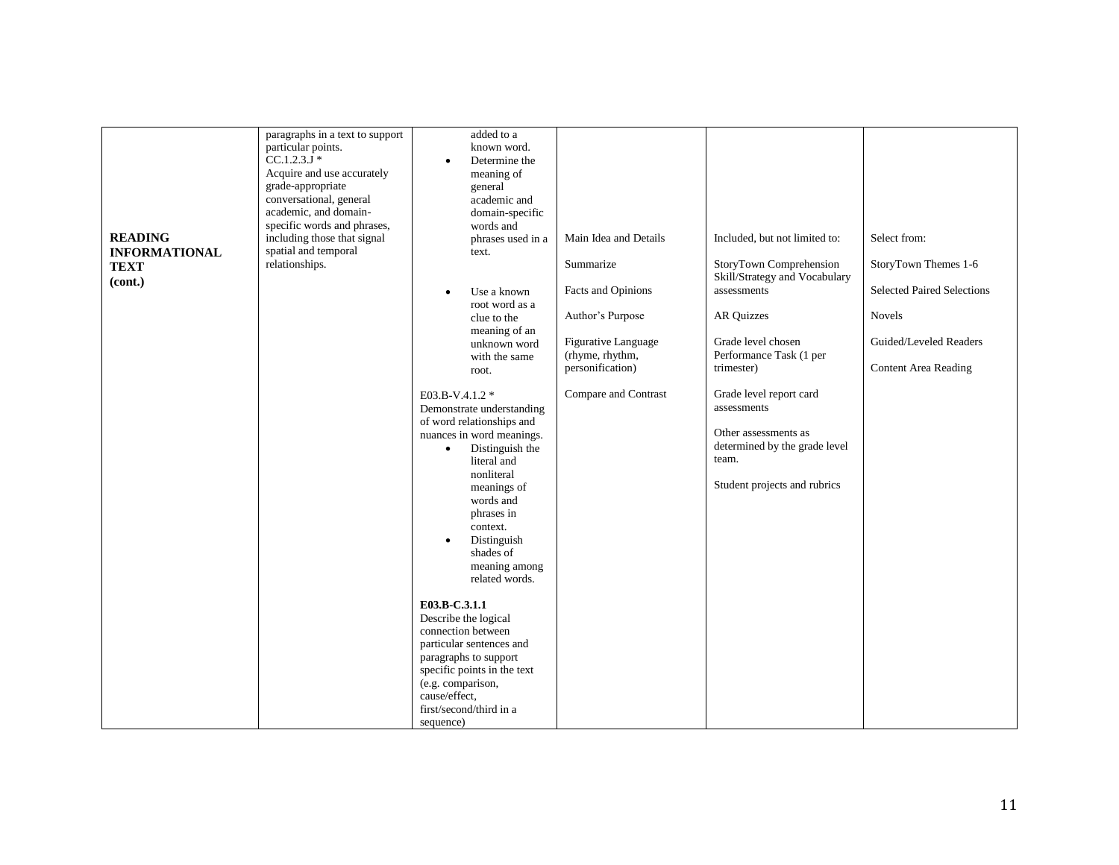|                                                                  | paragraphs in a text to support<br>particular points.<br>$CC.1.2.3J*$                                                                                                                                       | added to a<br>known word.<br>Determine the<br>$\bullet$                                                                                                                                                                                                                                                                                                                                                                                                                                                                              |                                                                                                                                                                           |                                                                                                                                                                                                                                                                                                                                          |                                                                                                                                                     |
|------------------------------------------------------------------|-------------------------------------------------------------------------------------------------------------------------------------------------------------------------------------------------------------|--------------------------------------------------------------------------------------------------------------------------------------------------------------------------------------------------------------------------------------------------------------------------------------------------------------------------------------------------------------------------------------------------------------------------------------------------------------------------------------------------------------------------------------|---------------------------------------------------------------------------------------------------------------------------------------------------------------------------|------------------------------------------------------------------------------------------------------------------------------------------------------------------------------------------------------------------------------------------------------------------------------------------------------------------------------------------|-----------------------------------------------------------------------------------------------------------------------------------------------------|
| <b>READING</b><br><b>INFORMATIONAL</b><br><b>TEXT</b><br>(cont.) | Acquire and use accurately<br>grade-appropriate<br>conversational, general<br>academic, and domain-<br>specific words and phrases,<br>including those that signal<br>spatial and temporal<br>relationships. | meaning of<br>general<br>academic and<br>domain-specific<br>words and<br>phrases used in a<br>text.<br>Use a known<br>$\bullet$<br>root word as a<br>clue to the<br>meaning of an<br>unknown word<br>with the same<br>root.<br>E03.B-V.4.1.2 *<br>Demonstrate understanding<br>of word relationships and<br>nuances in word meanings.<br>Distinguish the<br>$\bullet$<br>literal and<br>nonliteral<br>meanings of<br>words and<br>phrases in<br>context.<br>Distinguish<br>$\bullet$<br>shades of<br>meaning among<br>related words. | Main Idea and Details<br>Summarize<br>Facts and Opinions<br>Author's Purpose<br><b>Figurative Language</b><br>(rhyme, rhythm,<br>personification)<br>Compare and Contrast | Included, but not limited to:<br>StoryTown Comprehension<br>Skill/Strategy and Vocabulary<br>assessments<br><b>AR Quizzes</b><br>Grade level chosen<br>Performance Task (1 per<br>trimester)<br>Grade level report card<br>assessments<br>Other assessments as<br>determined by the grade level<br>team.<br>Student projects and rubrics | Select from:<br>StoryTown Themes 1-6<br><b>Selected Paired Selections</b><br><b>Novels</b><br>Guided/Leveled Readers<br><b>Content Area Reading</b> |
|                                                                  |                                                                                                                                                                                                             | E03.B-C.3.1.1<br>Describe the logical<br>connection between<br>particular sentences and<br>paragraphs to support<br>specific points in the text<br>(e.g. comparison,<br>cause/effect,<br>first/second/third in a                                                                                                                                                                                                                                                                                                                     |                                                                                                                                                                           |                                                                                                                                                                                                                                                                                                                                          |                                                                                                                                                     |
|                                                                  |                                                                                                                                                                                                             | sequence)                                                                                                                                                                                                                                                                                                                                                                                                                                                                                                                            |                                                                                                                                                                           |                                                                                                                                                                                                                                                                                                                                          |                                                                                                                                                     |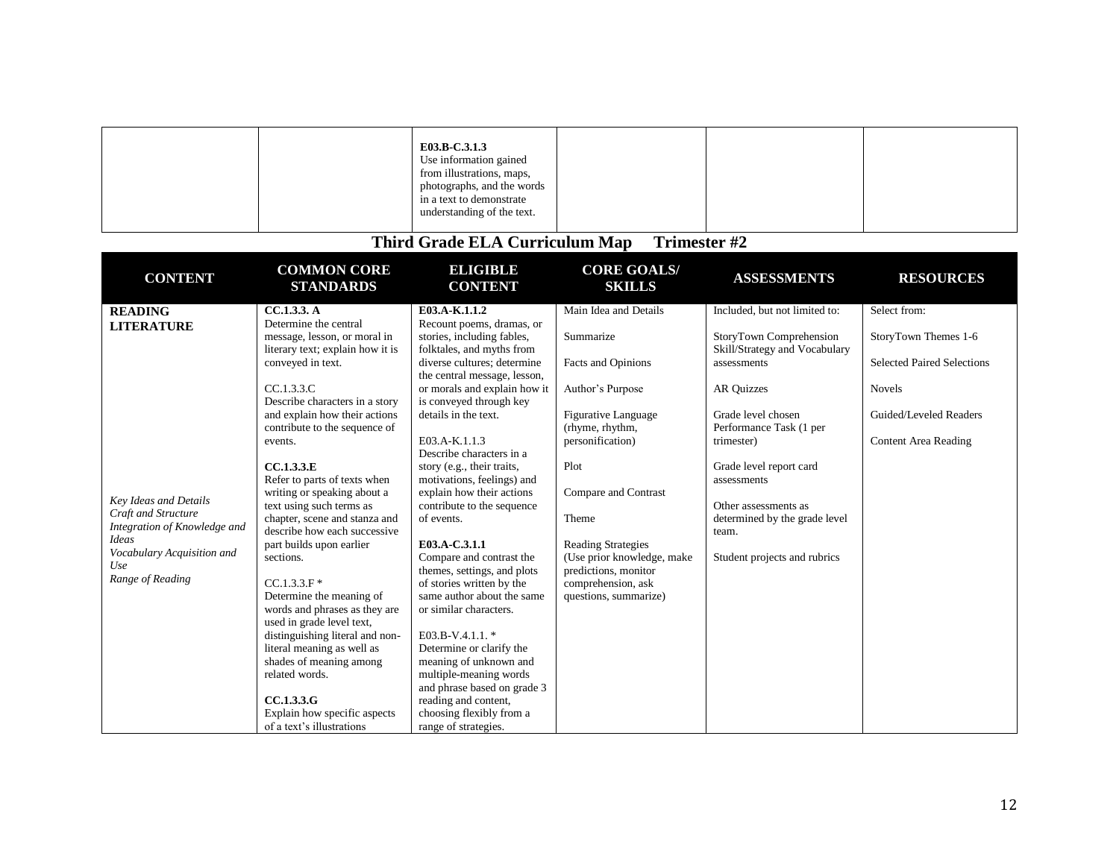|  | E03.B-C.3.1.3<br>Use information gained<br>from illustrations, maps,                 |  |  |
|--|--------------------------------------------------------------------------------------|--|--|
|  | photographs, and the words<br>in a text to demonstrate<br>understanding of the text. |  |  |

| <b>COMMON CORE</b><br><b>STANDARDS</b> | <b>ELIGIBLE</b><br><b>CONTENT</b>                                                                                                                                                                                                                                                                                                                                                                                                                      | <b>CORE GOALS/</b><br><b>SKILLS</b>                                                                                                                                                                                                                                                                                                                                                                                                                                                                                                            | <b>ASSESSMENTS</b>                                                                                                               | <b>RESOURCES</b>                                                                                                                                                                                                                  |
|----------------------------------------|--------------------------------------------------------------------------------------------------------------------------------------------------------------------------------------------------------------------------------------------------------------------------------------------------------------------------------------------------------------------------------------------------------------------------------------------------------|------------------------------------------------------------------------------------------------------------------------------------------------------------------------------------------------------------------------------------------------------------------------------------------------------------------------------------------------------------------------------------------------------------------------------------------------------------------------------------------------------------------------------------------------|----------------------------------------------------------------------------------------------------------------------------------|-----------------------------------------------------------------------------------------------------------------------------------------------------------------------------------------------------------------------------------|
| CC.1.3.3. A                            | E03.A-K.1.1.2                                                                                                                                                                                                                                                                                                                                                                                                                                          | Main Idea and Details                                                                                                                                                                                                                                                                                                                                                                                                                                                                                                                          | Included, but not limited to:                                                                                                    | Select from:                                                                                                                                                                                                                      |
| Determine the central                  | Recount poems, dramas, or                                                                                                                                                                                                                                                                                                                                                                                                                              |                                                                                                                                                                                                                                                                                                                                                                                                                                                                                                                                                |                                                                                                                                  |                                                                                                                                                                                                                                   |
| message, lesson, or moral in           |                                                                                                                                                                                                                                                                                                                                                                                                                                                        | Summarize                                                                                                                                                                                                                                                                                                                                                                                                                                                                                                                                      | StoryTown Comprehension                                                                                                          | StoryTown Themes 1-6                                                                                                                                                                                                              |
|                                        |                                                                                                                                                                                                                                                                                                                                                                                                                                                        |                                                                                                                                                                                                                                                                                                                                                                                                                                                                                                                                                |                                                                                                                                  |                                                                                                                                                                                                                                   |
|                                        | the central message, lesson,                                                                                                                                                                                                                                                                                                                                                                                                                           |                                                                                                                                                                                                                                                                                                                                                                                                                                                                                                                                                |                                                                                                                                  | <b>Selected Paired Selections</b>                                                                                                                                                                                                 |
| CC.1.3.3.C                             | or morals and explain how it                                                                                                                                                                                                                                                                                                                                                                                                                           | Author's Purpose                                                                                                                                                                                                                                                                                                                                                                                                                                                                                                                               | <b>AR Quizzes</b>                                                                                                                | <b>Novels</b>                                                                                                                                                                                                                     |
| Describe characters in a story         | is conveyed through key                                                                                                                                                                                                                                                                                                                                                                                                                                |                                                                                                                                                                                                                                                                                                                                                                                                                                                                                                                                                |                                                                                                                                  |                                                                                                                                                                                                                                   |
| and explain how their actions          | details in the text.                                                                                                                                                                                                                                                                                                                                                                                                                                   |                                                                                                                                                                                                                                                                                                                                                                                                                                                                                                                                                | Grade level chosen                                                                                                               | Guided/Leveled Readers                                                                                                                                                                                                            |
|                                        |                                                                                                                                                                                                                                                                                                                                                                                                                                                        |                                                                                                                                                                                                                                                                                                                                                                                                                                                                                                                                                |                                                                                                                                  |                                                                                                                                                                                                                                   |
| events.                                |                                                                                                                                                                                                                                                                                                                                                                                                                                                        |                                                                                                                                                                                                                                                                                                                                                                                                                                                                                                                                                |                                                                                                                                  | <b>Content Area Reading</b>                                                                                                                                                                                                       |
|                                        |                                                                                                                                                                                                                                                                                                                                                                                                                                                        |                                                                                                                                                                                                                                                                                                                                                                                                                                                                                                                                                |                                                                                                                                  |                                                                                                                                                                                                                                   |
|                                        |                                                                                                                                                                                                                                                                                                                                                                                                                                                        |                                                                                                                                                                                                                                                                                                                                                                                                                                                                                                                                                |                                                                                                                                  |                                                                                                                                                                                                                                   |
|                                        |                                                                                                                                                                                                                                                                                                                                                                                                                                                        |                                                                                                                                                                                                                                                                                                                                                                                                                                                                                                                                                |                                                                                                                                  |                                                                                                                                                                                                                                   |
|                                        |                                                                                                                                                                                                                                                                                                                                                                                                                                                        |                                                                                                                                                                                                                                                                                                                                                                                                                                                                                                                                                |                                                                                                                                  |                                                                                                                                                                                                                                   |
|                                        |                                                                                                                                                                                                                                                                                                                                                                                                                                                        |                                                                                                                                                                                                                                                                                                                                                                                                                                                                                                                                                |                                                                                                                                  |                                                                                                                                                                                                                                   |
| describe how each successive           |                                                                                                                                                                                                                                                                                                                                                                                                                                                        |                                                                                                                                                                                                                                                                                                                                                                                                                                                                                                                                                |                                                                                                                                  |                                                                                                                                                                                                                                   |
| part builds upon earlier               | E03.A-C.3.1.1                                                                                                                                                                                                                                                                                                                                                                                                                                          | <b>Reading Strategies</b>                                                                                                                                                                                                                                                                                                                                                                                                                                                                                                                      |                                                                                                                                  |                                                                                                                                                                                                                                   |
| sections.                              | Compare and contrast the                                                                                                                                                                                                                                                                                                                                                                                                                               | (Use prior knowledge, make                                                                                                                                                                                                                                                                                                                                                                                                                                                                                                                     |                                                                                                                                  |                                                                                                                                                                                                                                   |
|                                        | themes, settings, and plots                                                                                                                                                                                                                                                                                                                                                                                                                            | predictions, monitor                                                                                                                                                                                                                                                                                                                                                                                                                                                                                                                           |                                                                                                                                  |                                                                                                                                                                                                                                   |
| $CC.1.3.3.F*$                          | of stories written by the                                                                                                                                                                                                                                                                                                                                                                                                                              | comprehension, ask                                                                                                                                                                                                                                                                                                                                                                                                                                                                                                                             |                                                                                                                                  |                                                                                                                                                                                                                                   |
| Determine the meaning of               |                                                                                                                                                                                                                                                                                                                                                                                                                                                        | questions, summarize)                                                                                                                                                                                                                                                                                                                                                                                                                                                                                                                          |                                                                                                                                  |                                                                                                                                                                                                                                   |
| words and phrases as they are          |                                                                                                                                                                                                                                                                                                                                                                                                                                                        |                                                                                                                                                                                                                                                                                                                                                                                                                                                                                                                                                |                                                                                                                                  |                                                                                                                                                                                                                                   |
|                                        |                                                                                                                                                                                                                                                                                                                                                                                                                                                        |                                                                                                                                                                                                                                                                                                                                                                                                                                                                                                                                                |                                                                                                                                  |                                                                                                                                                                                                                                   |
|                                        |                                                                                                                                                                                                                                                                                                                                                                                                                                                        |                                                                                                                                                                                                                                                                                                                                                                                                                                                                                                                                                |                                                                                                                                  |                                                                                                                                                                                                                                   |
|                                        |                                                                                                                                                                                                                                                                                                                                                                                                                                                        |                                                                                                                                                                                                                                                                                                                                                                                                                                                                                                                                                |                                                                                                                                  |                                                                                                                                                                                                                                   |
|                                        |                                                                                                                                                                                                                                                                                                                                                                                                                                                        |                                                                                                                                                                                                                                                                                                                                                                                                                                                                                                                                                |                                                                                                                                  |                                                                                                                                                                                                                                   |
|                                        |                                                                                                                                                                                                                                                                                                                                                                                                                                                        |                                                                                                                                                                                                                                                                                                                                                                                                                                                                                                                                                |                                                                                                                                  |                                                                                                                                                                                                                                   |
|                                        |                                                                                                                                                                                                                                                                                                                                                                                                                                                        |                                                                                                                                                                                                                                                                                                                                                                                                                                                                                                                                                |                                                                                                                                  |                                                                                                                                                                                                                                   |
|                                        |                                                                                                                                                                                                                                                                                                                                                                                                                                                        |                                                                                                                                                                                                                                                                                                                                                                                                                                                                                                                                                |                                                                                                                                  |                                                                                                                                                                                                                                   |
|                                        |                                                                                                                                                                                                                                                                                                                                                                                                                                                        |                                                                                                                                                                                                                                                                                                                                                                                                                                                                                                                                                |                                                                                                                                  |                                                                                                                                                                                                                                   |
|                                        | literary text; explain how it is<br>conveyed in text.<br>contribute to the sequence of<br>CC.1.3.3.E<br>Refer to parts of texts when<br>writing or speaking about a<br>text using such terms as<br>chapter, scene and stanza and<br>used in grade level text,<br>distinguishing literal and non-<br>literal meaning as well as<br>shades of meaning among<br>related words.<br>CC.1.3.3.G<br>Explain how specific aspects<br>of a text's illustrations | stories, including fables,<br>folktales, and myths from<br>diverse cultures; determine<br>E03.A-K.1.1.3<br>Describe characters in a<br>story (e.g., their traits,<br>motivations, feelings) and<br>explain how their actions<br>contribute to the sequence<br>of events.<br>same author about the same<br>or similar characters.<br>E03.B-V.4.1.1.*<br>Determine or clarify the<br>meaning of unknown and<br>multiple-meaning words<br>and phrase based on grade 3<br>reading and content,<br>choosing flexibly from a<br>range of strategies. | <b>Facts and Opinions</b><br>Figurative Language<br>(rhyme, rhythm,<br>personification)<br>Plot<br>Compare and Contrast<br>Theme | Skill/Strategy and Vocabulary<br>assessments<br>Performance Task (1 per<br>trimester)<br>Grade level report card<br>assessments<br>Other assessments as<br>determined by the grade level<br>team.<br>Student projects and rubrics |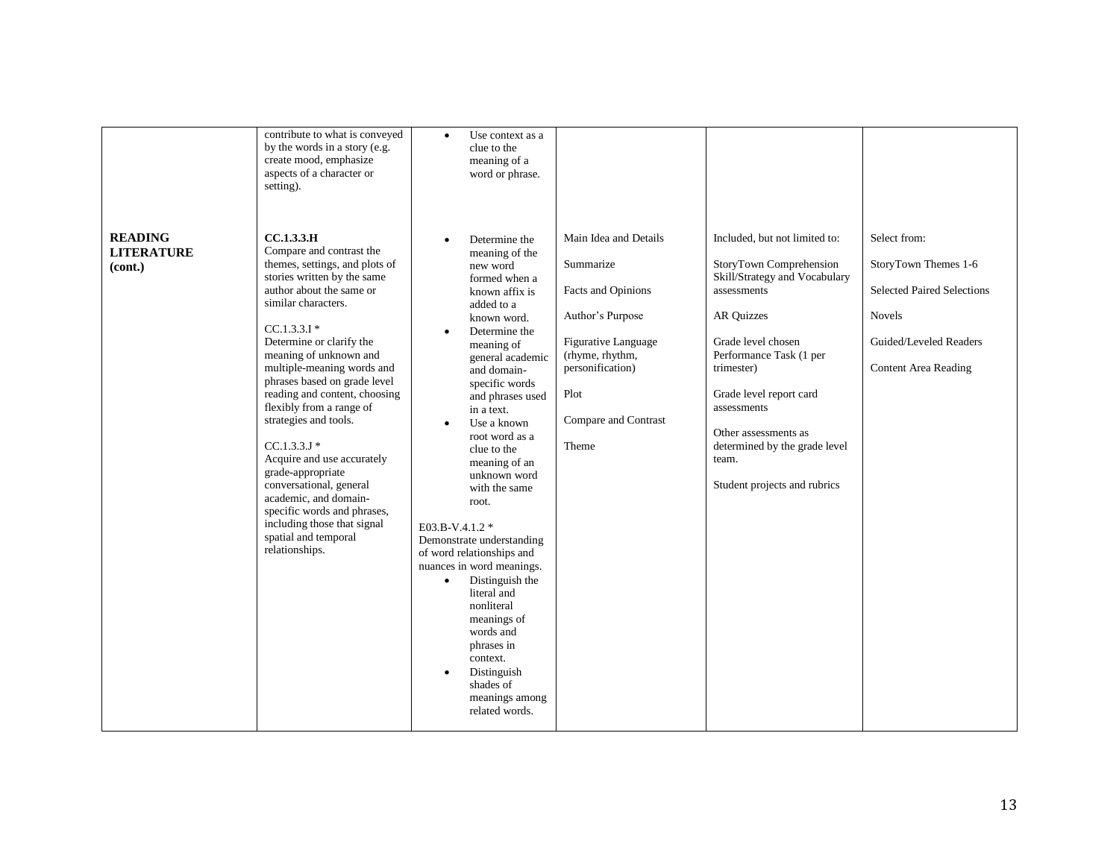| <b>READING</b><br><b>LITERATURE</b><br>(cont.) | contribute to what is conveyed<br>by the words in a story (e.g.<br>create mood, emphasize<br>aspects of a character or<br>setting).<br><b>CC.1.3.3.H</b><br>Compare and contrast the<br>themes, settings, and plots of<br>stories written by the same<br>author about the same or<br>similar characters.<br>$CC.1.3.3.1*$<br>Determine or clarify the<br>meaning of unknown and<br>multiple-meaning words and<br>phrases based on grade level<br>reading and content, choosing<br>flexibly from a range of<br>strategies and tools.<br>$CC.1.3.3.J*$<br>Acquire and use accurately | Use context as a<br>$\bullet$<br>clue to the<br>meaning of a<br>word or phrase.<br>Determine the<br>$\bullet$<br>meaning of the<br>new word<br>formed when a<br>known affix is<br>added to a<br>known word.<br>Determine the<br>meaning of<br>general academic<br>and domain-<br>specific words<br>and phrases used<br>in a text.<br>Use a known<br>$\bullet$<br>root word as a<br>clue to the | Main Idea and Details<br>Summarize<br>Facts and Opinions<br>Author's Purpose<br><b>Figurative Language</b><br>(rhyme, rhythm,<br>personification)<br>Plot<br>Compare and Contrast<br>Theme | Included, but not limited to:<br>StoryTown Comprehension<br>Skill/Strategy and Vocabulary<br>assessments<br><b>AR Quizzes</b><br>Grade level chosen<br>Performance Task (1 per<br>trimester)<br>Grade level report card<br>assessments<br>Other assessments as<br>determined by the grade level | Select from:<br>StoryTown Themes 1-6<br><b>Selected Paired Selections</b><br><b>Novels</b><br>Guided/Leveled Readers<br><b>Content Area Reading</b> |
|------------------------------------------------|------------------------------------------------------------------------------------------------------------------------------------------------------------------------------------------------------------------------------------------------------------------------------------------------------------------------------------------------------------------------------------------------------------------------------------------------------------------------------------------------------------------------------------------------------------------------------------|------------------------------------------------------------------------------------------------------------------------------------------------------------------------------------------------------------------------------------------------------------------------------------------------------------------------------------------------------------------------------------------------|--------------------------------------------------------------------------------------------------------------------------------------------------------------------------------------------|-------------------------------------------------------------------------------------------------------------------------------------------------------------------------------------------------------------------------------------------------------------------------------------------------|-----------------------------------------------------------------------------------------------------------------------------------------------------|
|                                                | academic, and domain-<br>specific words and phrases,<br>including those that signal<br>spatial and temporal<br>relationships.                                                                                                                                                                                                                                                                                                                                                                                                                                                      | with the same<br>root.<br>E03.B-V.4.1.2 *<br>Demonstrate understanding<br>of word relationships and<br>nuances in word meanings.<br>Distinguish the<br>$\bullet$<br>literal and<br>nonliteral<br>meanings of<br>words and<br>phrases in<br>context.<br>Distinguish<br>$\bullet$<br>shades of<br>meanings among<br>related words.                                                               |                                                                                                                                                                                            |                                                                                                                                                                                                                                                                                                 |                                                                                                                                                     |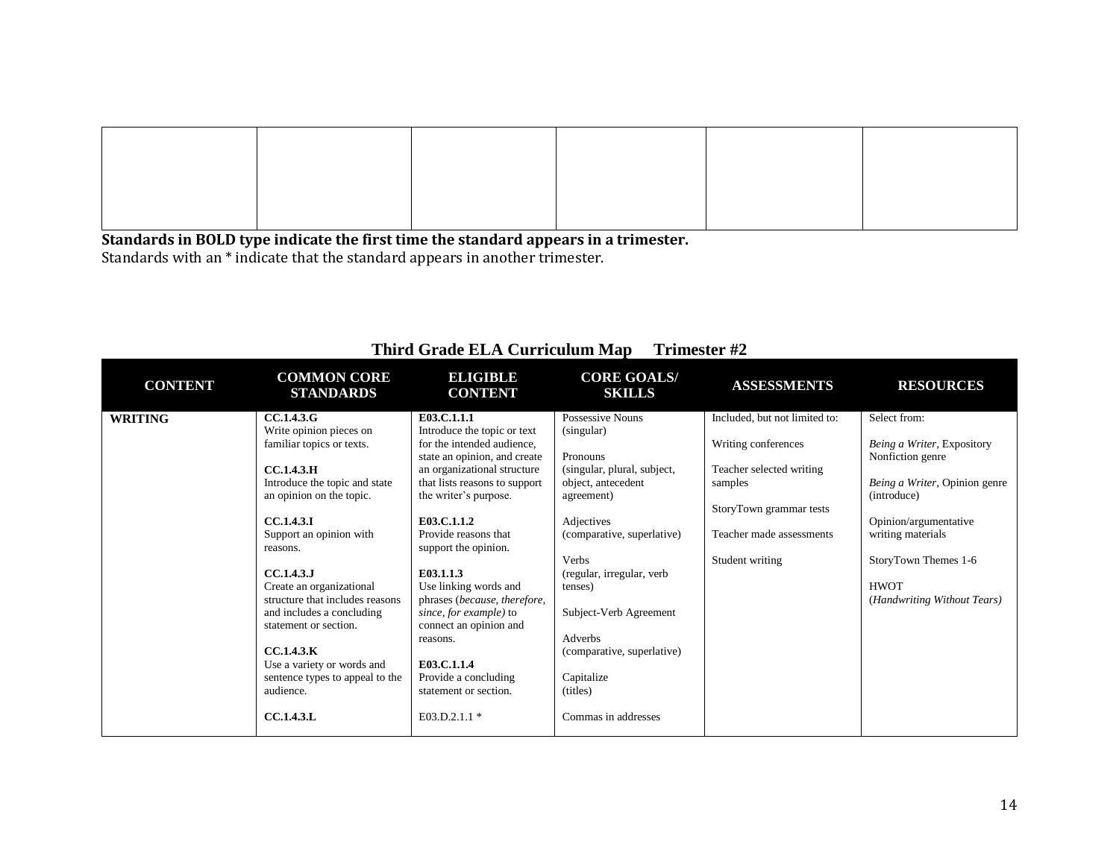**Standards in BOLD type indicate the first time the standard appears in a trimester.** Standards with an \* indicate that the standard appears in another trimester.

| <b>CONTENT</b> | <b>COMMON CORE</b><br><b>STANDARDS</b> | <b>ELIGIBLE</b><br><b>CONTENT</b> | <b>CORE GOALS/</b><br><b>SKILLS</b> | <b>ASSESSMENTS</b>            | <b>RESOURCES</b>              |
|----------------|----------------------------------------|-----------------------------------|-------------------------------------|-------------------------------|-------------------------------|
| <b>WRITING</b> | <b>CC.1.4.3.G</b>                      | E03.C.1.1.1                       | Possessive Nouns                    | Included, but not limited to: | Select from:                  |
|                | Write opinion pieces on                | Introduce the topic or text       | (singular)                          |                               |                               |
|                | familiar topics or texts.              | for the intended audience,        |                                     | Writing conferences           | Being a Writer, Expository    |
|                |                                        | state an opinion, and create      | Pronouns                            |                               | Nonfiction genre              |
|                | CC.1.4.3.H                             | an organizational structure       | (singular, plural, subject,         | Teacher selected writing      |                               |
|                | Introduce the topic and state          | that lists reasons to support     | object, antecedent                  | samples                       | Being a Writer, Opinion genre |
|                | an opinion on the topic.               | the writer's purpose.             | agreement)                          |                               | (introduce)                   |
|                |                                        | E03.C.1.1.2                       |                                     | StoryTown grammar tests       |                               |
|                | CC.1.4.3.I                             | Provide reasons that              | Adjectives                          | Teacher made assessments      | Opinion/argumentative         |
|                | Support an opinion with<br>reasons.    | support the opinion.              | (comparative, superlative)          |                               | writing materials             |
|                |                                        |                                   | Verbs                               | Student writing               | StoryTown Themes 1-6          |
|                | <b>CC.1.4.3.J</b>                      | E03.1.1.3                         | (regular, irregular, verb           |                               |                               |
|                | Create an organizational               | Use linking words and             | tenses)                             |                               | <b>HWOT</b>                   |
|                | structure that includes reasons        | phrases (because, therefore,      |                                     |                               | (Handwriting Without Tears)   |
|                | and includes a concluding              | since, for example) to            | Subject-Verb Agreement              |                               |                               |
|                | statement or section.                  | connect an opinion and            |                                     |                               |                               |
|                |                                        | reasons.                          | Adverbs                             |                               |                               |
|                | CC.1.4.3.K                             |                                   | (comparative, superlative)          |                               |                               |
|                | Use a variety or words and             | E03.C.1.1.4                       |                                     |                               |                               |
|                | sentence types to appeal to the        | Provide a concluding              | Capitalize                          |                               |                               |
|                | audience.                              | statement or section.             | (titles)                            |                               |                               |
|                | <b>CC.1.4.3.L</b>                      | E03.D.2.1.1 *                     | Commas in addresses                 |                               |                               |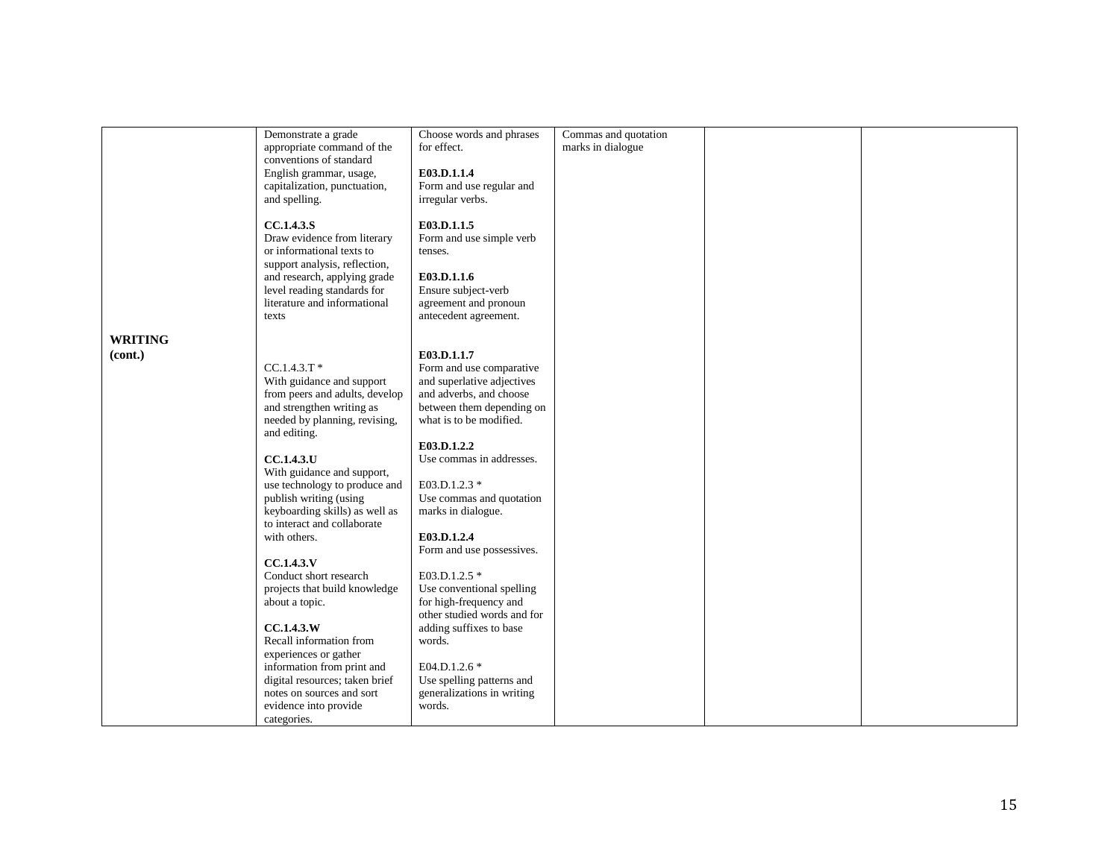|                | Demonstrate a grade            | Choose words and phrases    | Commas and quotation |  |
|----------------|--------------------------------|-----------------------------|----------------------|--|
|                | appropriate command of the     | for effect.                 | marks in dialogue    |  |
|                | conventions of standard        |                             |                      |  |
|                | English grammar, usage,        | E03.D.1.1.4                 |                      |  |
|                | capitalization, punctuation,   | Form and use regular and    |                      |  |
|                | and spelling.                  | irregular verbs.            |                      |  |
|                |                                |                             |                      |  |
|                | <b>CC.1.4.3.S</b>              | E03.D.1.1.5                 |                      |  |
|                | Draw evidence from literary    | Form and use simple verb    |                      |  |
|                | or informational texts to      | tenses.                     |                      |  |
|                | support analysis, reflection,  |                             |                      |  |
|                |                                |                             |                      |  |
|                | and research, applying grade   | E03.D.1.1.6                 |                      |  |
|                | level reading standards for    | Ensure subject-verb         |                      |  |
|                | literature and informational   | agreement and pronoun       |                      |  |
|                | texts                          | antecedent agreement.       |                      |  |
|                |                                |                             |                      |  |
| <b>WRITING</b> |                                |                             |                      |  |
| (cont.)        |                                | E03.D.1.1.7                 |                      |  |
|                | $CC.1.4.3.T$ *                 | Form and use comparative    |                      |  |
|                | With guidance and support      | and superlative adjectives  |                      |  |
|                | from peers and adults, develop | and adverbs, and choose     |                      |  |
|                | and strengthen writing as      | between them depending on   |                      |  |
|                | needed by planning, revising,  | what is to be modified.     |                      |  |
|                | and editing.                   |                             |                      |  |
|                |                                | E03.D.1.2.2                 |                      |  |
|                | <b>CC.1.4.3.U</b>              | Use commas in addresses.    |                      |  |
|                | With guidance and support,     |                             |                      |  |
|                | use technology to produce and  | E03.D.1.2.3 *               |                      |  |
|                | publish writing (using         | Use commas and quotation    |                      |  |
|                |                                |                             |                      |  |
|                | keyboarding skills) as well as | marks in dialogue.          |                      |  |
|                | to interact and collaborate    |                             |                      |  |
|                | with others.                   | E03.D.1.2.4                 |                      |  |
|                |                                | Form and use possessives.   |                      |  |
|                | CC.1.4.3.V                     |                             |                      |  |
|                | Conduct short research         | E03.D.1.2.5 *               |                      |  |
|                | projects that build knowledge  | Use conventional spelling   |                      |  |
|                | about a topic.                 | for high-frequency and      |                      |  |
|                |                                | other studied words and for |                      |  |
|                | CC.1.4.3.W                     | adding suffixes to base     |                      |  |
|                | Recall information from        | words.                      |                      |  |
|                | experiences or gather          |                             |                      |  |
|                | information from print and     | E04.D.1.2.6 *               |                      |  |
|                | digital resources; taken brief | Use spelling patterns and   |                      |  |
|                | notes on sources and sort      | generalizations in writing  |                      |  |
|                | evidence into provide          | words.                      |                      |  |
|                | categories.                    |                             |                      |  |
|                |                                |                             |                      |  |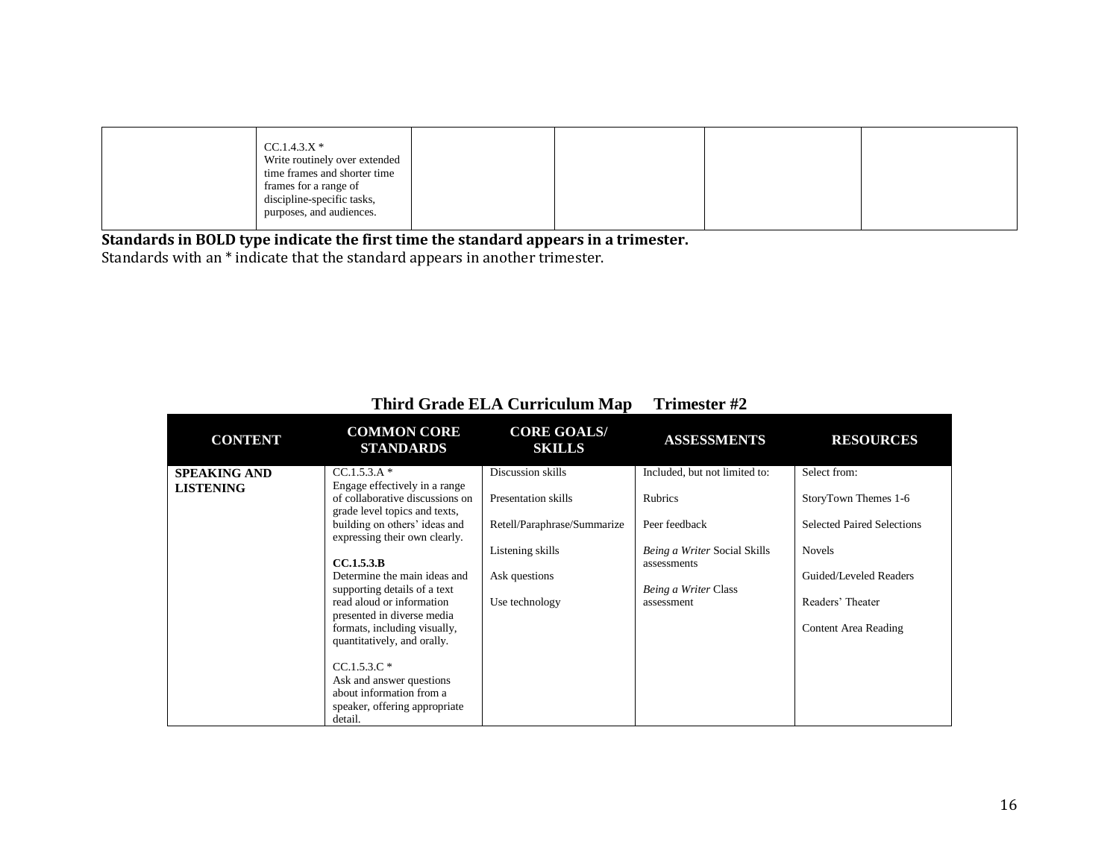| $CC.1.4.3.X*$                 |  |  |
|-------------------------------|--|--|
| Write routinely over extended |  |  |
| time frames and shorter time  |  |  |
| frames for a range of         |  |  |
| discipline-specific tasks,    |  |  |
| purposes, and audiences.      |  |  |
|                               |  |  |

Standards with an \* indicate that the standard appears in another trimester.

| <b>CONTENT</b>                          | <b>COMMON CORE</b><br><b>STANDARDS</b>                                                                                                                                                                                                                                                                                                                                                                                                                                                                            | <b>CORE GOALS/</b><br><b>SKILLS</b>                                                                                            | <b>ASSESSMENTS</b>                                                                                                                             | <b>RESOURCES</b>                                                                                                                                                 |
|-----------------------------------------|-------------------------------------------------------------------------------------------------------------------------------------------------------------------------------------------------------------------------------------------------------------------------------------------------------------------------------------------------------------------------------------------------------------------------------------------------------------------------------------------------------------------|--------------------------------------------------------------------------------------------------------------------------------|------------------------------------------------------------------------------------------------------------------------------------------------|------------------------------------------------------------------------------------------------------------------------------------------------------------------|
| <b>SPEAKING AND</b><br><b>LISTENING</b> | $CC.1.5.3.A*$<br>Engage effectively in a range<br>of collaborative discussions on<br>grade level topics and texts,<br>building on others' ideas and<br>expressing their own clearly.<br>CC.1.5.3.B<br>Determine the main ideas and<br>supporting details of a text<br>read aloud or information<br>presented in diverse media<br>formats, including visually,<br>quantitatively, and orally.<br>$CC.1.5.3.C*$<br>Ask and answer questions<br>about information from a<br>speaker, offering appropriate<br>detail. | Discussion skills<br>Presentation skills<br>Retell/Paraphrase/Summarize<br>Listening skills<br>Ask questions<br>Use technology | Included, but not limited to:<br>Rubrics<br>Peer feedback<br>Being a Writer Social Skills<br>assessments<br>Being a Writer Class<br>assessment | Select from:<br>StoryTown Themes 1-6<br><b>Selected Paired Selections</b><br><b>Novels</b><br>Guided/Leveled Readers<br>Readers' Theater<br>Content Area Reading |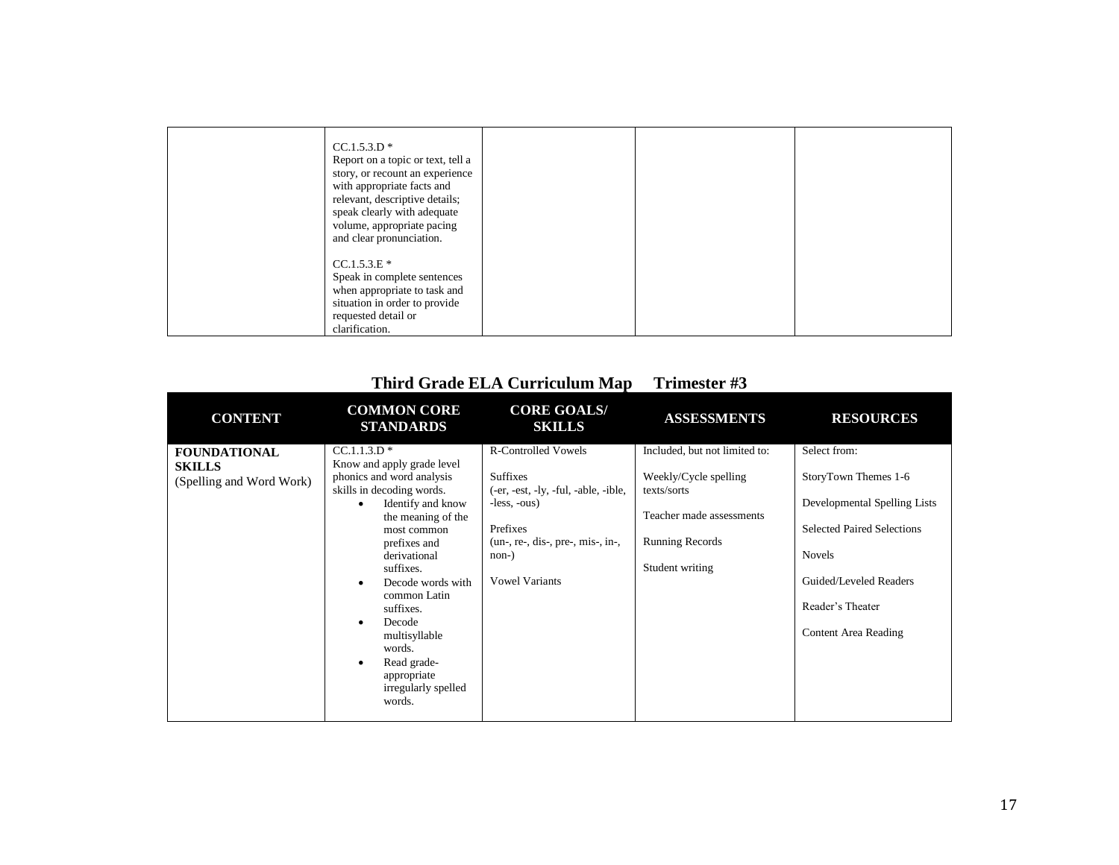| $CC.1.5.3.D*$<br>Report on a topic or text, tell a<br>story, or recount an experience<br>with appropriate facts and<br>relevant, descriptive details;<br>speak clearly with adequate<br>volume, appropriate pacing<br>and clear pronunciation. |  |  |
|------------------------------------------------------------------------------------------------------------------------------------------------------------------------------------------------------------------------------------------------|--|--|
| $CC.1.5.3.E*$<br>Speak in complete sentences<br>when appropriate to task and<br>situation in order to provide<br>requested detail or<br>clarification.                                                                                         |  |  |

| <b>CONTENT</b>                                                   | <b>COMMON CORE</b><br><b>STANDARDS</b>                                                                                                                                                                                                                                                                                                                                                                    | <b>CORE GOALS/</b><br><b>SKILLS</b>                                                                                                                                                            | <b>ASSESSMENTS</b>                                                                                                                             | <b>RESOURCES</b>                                                                                                                                                                                 |
|------------------------------------------------------------------|-----------------------------------------------------------------------------------------------------------------------------------------------------------------------------------------------------------------------------------------------------------------------------------------------------------------------------------------------------------------------------------------------------------|------------------------------------------------------------------------------------------------------------------------------------------------------------------------------------------------|------------------------------------------------------------------------------------------------------------------------------------------------|--------------------------------------------------------------------------------------------------------------------------------------------------------------------------------------------------|
| <b>FOUNDATIONAL</b><br><b>SKILLS</b><br>(Spelling and Word Work) | $CC.1.1.3.D*$<br>Know and apply grade level<br>phonics and word analysis<br>skills in decoding words.<br>Identify and know<br>the meaning of the<br>most common<br>prefixes and<br>derivational<br>suffixes.<br>Decode words with<br>$\bullet$<br>common Latin<br>suffixes.<br>Decode<br>$\bullet$<br>multisyllable<br>words.<br>Read grade-<br>$\bullet$<br>appropriate<br>irregularly spelled<br>words. | <b>R-Controlled Vowels</b><br><b>Suffixes</b><br>(-er, -est, -ly, -ful, -able, -ible,<br>$-less, -ous)$<br>Prefixes<br>$(un-, re-, dis-, pre-, mis-, in-,$<br>$non-)$<br><b>Vowel Variants</b> | Included, but not limited to:<br>Weekly/Cycle spelling<br>texts/sorts<br>Teacher made assessments<br><b>Running Records</b><br>Student writing | Select from:<br>StoryTown Themes 1-6<br>Developmental Spelling Lists<br><b>Selected Paired Selections</b><br><b>Novels</b><br>Guided/Leveled Readers<br>Reader's Theater<br>Content Area Reading |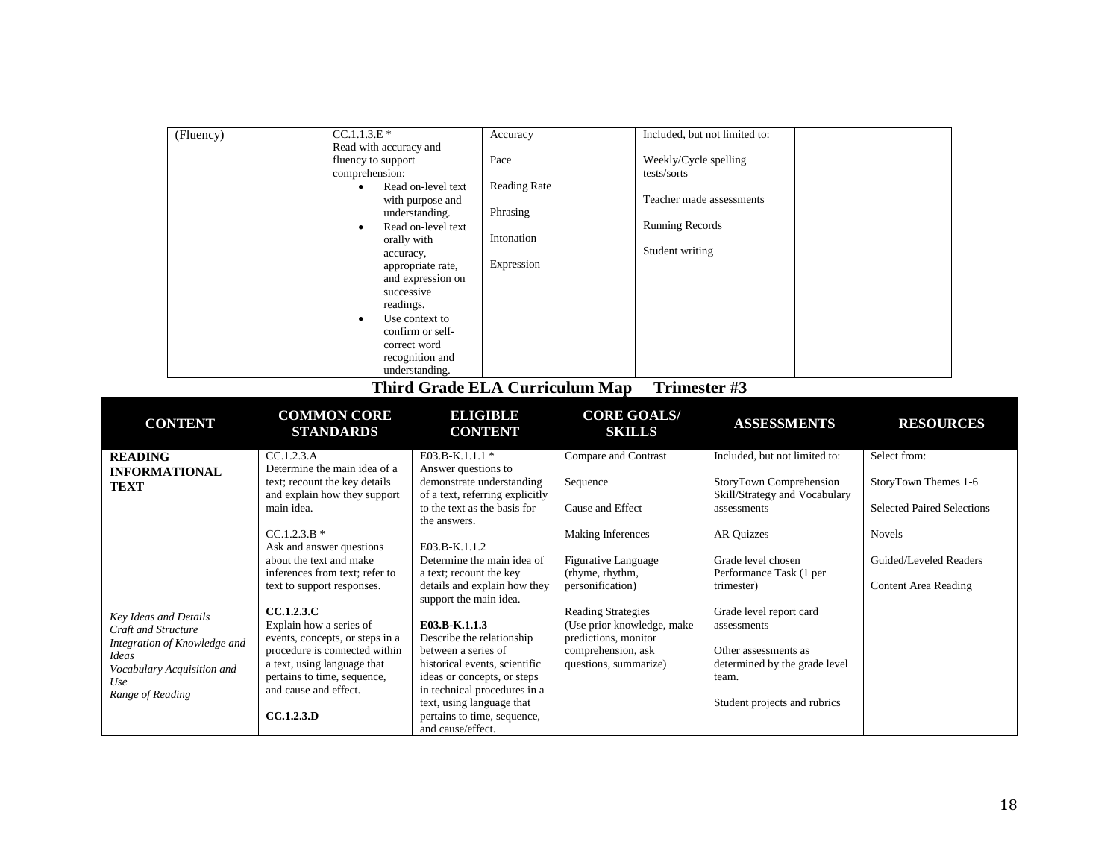| (Fluency)                                                                                                                                                    | $C\overline{C.1.1.3.E*}$<br>Read with accuracy and<br>fluency to support<br>comprehension:<br>$\bullet$<br>$\bullet$<br>orally with<br>accuracy,<br>successive<br>readings.<br>correct word                                                                       | Accuracy<br>Pace<br>Read on-level text<br><b>Reading Rate</b><br>with purpose and<br>Phrasing<br>understanding.<br>Read on-level text<br>Intonation<br>Expression<br>appropriate rate,<br>and expression on<br>Use context to<br>confirm or self-<br>recognition and<br>understanding.     |                                                                                                                                                | Weekly/Cycle spelling<br>tests/sorts<br>Teacher made assessments<br><b>Running Records</b><br>Student writing | Included, but not limited to:                                                                                                                                                                |                                                                                                                                                     |  |
|--------------------------------------------------------------------------------------------------------------------------------------------------------------|-------------------------------------------------------------------------------------------------------------------------------------------------------------------------------------------------------------------------------------------------------------------|--------------------------------------------------------------------------------------------------------------------------------------------------------------------------------------------------------------------------------------------------------------------------------------------|------------------------------------------------------------------------------------------------------------------------------------------------|---------------------------------------------------------------------------------------------------------------|----------------------------------------------------------------------------------------------------------------------------------------------------------------------------------------------|-----------------------------------------------------------------------------------------------------------------------------------------------------|--|
|                                                                                                                                                              |                                                                                                                                                                                                                                                                   | <b>Third Grade ELA Curriculum Map</b>                                                                                                                                                                                                                                                      |                                                                                                                                                | Trimester #3                                                                                                  |                                                                                                                                                                                              |                                                                                                                                                     |  |
| <b>CONTENT</b>                                                                                                                                               | <b>COMMON CORE</b><br><b>STANDARDS</b>                                                                                                                                                                                                                            | <b>ELIGIBLE</b><br><b>CONTENT</b>                                                                                                                                                                                                                                                          | <b>CORE GOALS/</b><br><b>SKILLS</b>                                                                                                            |                                                                                                               | <b>ASSESSMENTS</b>                                                                                                                                                                           | <b>RESOURCES</b>                                                                                                                                    |  |
| <b>READING</b><br><b>INFORMATIONAL</b><br><b>TEXT</b>                                                                                                        | CC.1.2.3.A<br>Determine the main idea of a<br>text; recount the key details<br>and explain how they support<br>main idea.<br>$CC.1.2.3.B*$<br>Ask and answer questions<br>about the text and make<br>inferences from text; refer to<br>text to support responses. | E03.B-K.1.1.1 *<br>Answer questions to<br>demonstrate understanding<br>of a text, referring explicitly<br>to the text as the basis for<br>the answers.<br>E03.B-K.1.1.2<br>Determine the main idea of<br>a text; recount the key<br>details and explain how they<br>support the main idea. | Compare and Contrast<br>Sequence<br>Cause and Effect<br>Making Inferences<br><b>Figurative Language</b><br>(rhyme, rhythm,<br>personification) |                                                                                                               | Included, but not limited to:<br>StoryTown Comprehension<br>Skill/Strategy and Vocabulary<br>assessments<br><b>AR Quizzes</b><br>Grade level chosen<br>Performance Task (1 per<br>trimester) | Select from:<br>StoryTown Themes 1-6<br><b>Selected Paired Selections</b><br><b>Novels</b><br>Guided/Leveled Readers<br><b>Content Area Reading</b> |  |
| <b>Key Ideas and Details</b><br>Craft and Structure<br>Integration of Knowledge and<br><b>Ideas</b><br>Vocabulary Acquisition and<br>Use<br>Range of Reading | CCA.2.3.C<br>Explain how a series of<br>events, concepts, or steps in a<br>procedure is connected within<br>a text, using language that<br>pertains to time, sequence,<br>and cause and effect.<br><b>CC.1.2.3.D</b>                                              | E03.B-K.1.1.3<br>Describe the relationship<br>between a series of<br>historical events, scientific<br>ideas or concepts, or steps<br>in technical procedures in a<br>text, using language that<br>pertains to time, sequence,<br>and cause/effect.                                         | <b>Reading Strategies</b><br>(Use prior knowledge, make<br>predictions, monitor<br>comprehension, ask<br>questions, summarize)                 |                                                                                                               | Grade level report card<br>assessments<br>Other assessments as<br>determined by the grade level<br>team.<br>Student projects and rubrics                                                     |                                                                                                                                                     |  |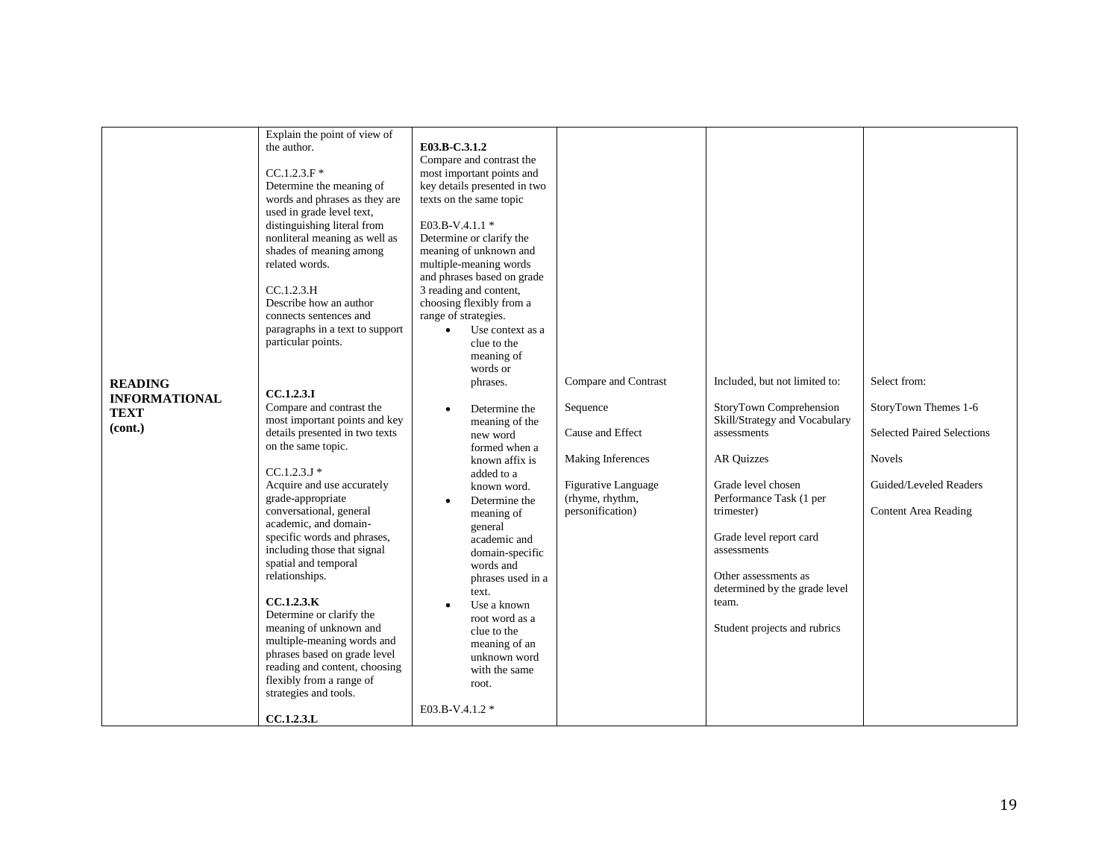| Explain the point of view of<br>the author.<br>$CC.1.2.3.F*$<br>Determine the meaning of<br>words and phrases as they are<br>used in grade level text,<br>distinguishing literal from<br>nonliteral meaning as well as<br>shades of meaning among<br>related words.<br>CC.1.2.3.H<br>Describe how an author<br>connects sentences and<br>paragraphs in a text to support<br>particular points.                    | E03.B-C.3.1.2<br>Compare and contrast the<br>most important points and<br>key details presented in two<br>texts on the same topic<br>E03.B-V.4.1.1 *<br>Determine or clarify the<br>meaning of unknown and<br>multiple-meaning words<br>and phrases based on grade<br>3 reading and content,<br>choosing flexibly from a<br>range of strategies.<br>Use context as a<br>$\bullet$<br>clue to the<br>meaning of<br>words or |                                     |                                                                                                                                                                                   |                      |
|-------------------------------------------------------------------------------------------------------------------------------------------------------------------------------------------------------------------------------------------------------------------------------------------------------------------------------------------------------------------------------------------------------------------|----------------------------------------------------------------------------------------------------------------------------------------------------------------------------------------------------------------------------------------------------------------------------------------------------------------------------------------------------------------------------------------------------------------------------|-------------------------------------|-----------------------------------------------------------------------------------------------------------------------------------------------------------------------------------|----------------------|
| grade-appropriate<br>conversational, general<br>academic, and domain-<br>specific words and phrases,<br>including those that signal<br>spatial and temporal<br>relationships.<br>CCA.2.3.K<br>Determine or clarify the<br>meaning of unknown and<br>multiple-meaning words and<br>phrases based on grade level<br>reading and content, choosing<br>flexibly from a range of<br>strategies and tools.<br>CCA.2.3.L | Determine the<br>$\bullet$<br>meaning of<br>general<br>academic and<br>domain-specific<br>words and<br>phrases used in a<br>text.<br>Use a known<br>$\bullet$<br>root word as a<br>clue to the<br>meaning of an<br>unknown word<br>with the same<br>root.<br>E03.B-V.4.1.2 *                                                                                                                                               | (rhyme, rhythm,<br>personification) | Performance Task (1 per<br>trimester)<br>Grade level report card<br>assessments<br>Other assessments as<br>determined by the grade level<br>team.<br>Student projects and rubrics | Content Area Reading |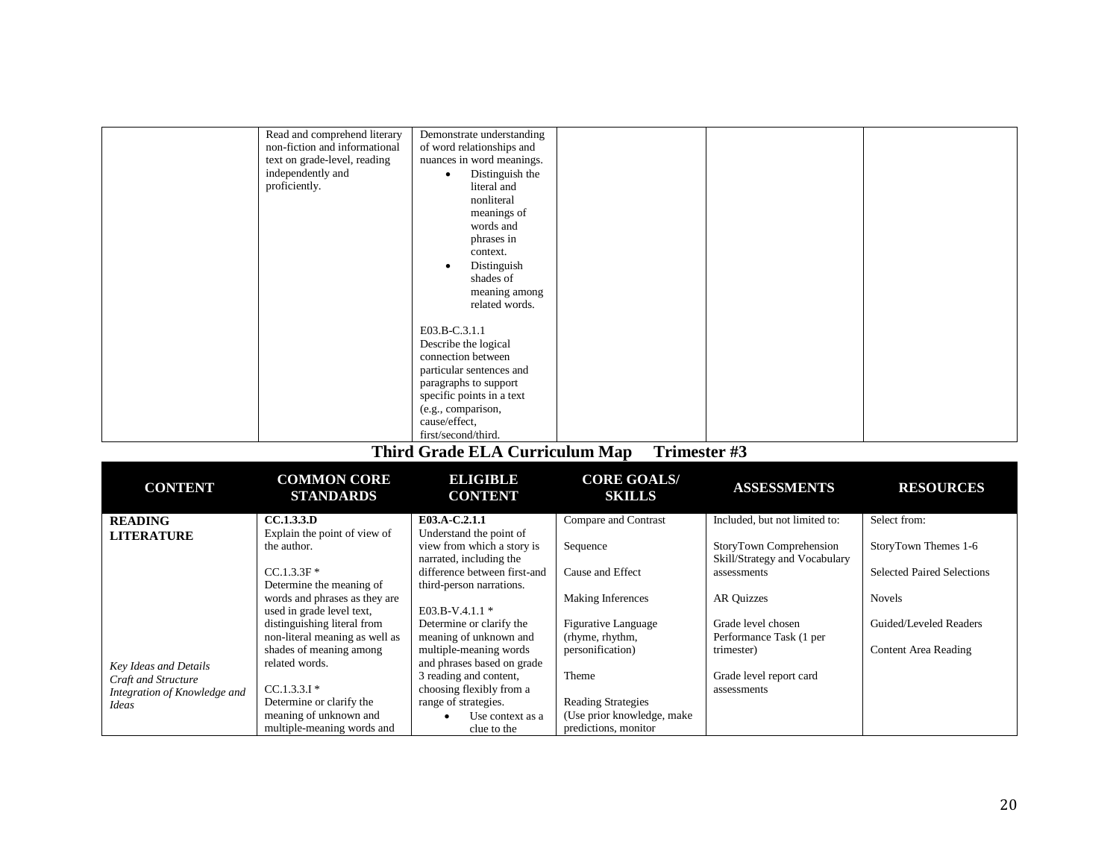| Read and comprehend literary  | Demonstrate understanding                         |                                                           |                                   |  |
|-------------------------------|---------------------------------------------------|-----------------------------------------------------------|-----------------------------------|--|
| non-fiction and informational | of word relationships and                         |                                                           |                                   |  |
| text on grade-level, reading  | nuances in word meanings.                         |                                                           |                                   |  |
| independently and             | Distinguish the<br>$\bullet$                      |                                                           |                                   |  |
| proficiently.                 | literal and                                       |                                                           |                                   |  |
|                               | nonliteral                                        |                                                           |                                   |  |
|                               | meanings of                                       |                                                           |                                   |  |
|                               | words and                                         |                                                           |                                   |  |
|                               | phrases in                                        |                                                           |                                   |  |
|                               | context.                                          |                                                           |                                   |  |
|                               | Distinguish                                       |                                                           |                                   |  |
|                               | shades of                                         |                                                           |                                   |  |
|                               | meaning among                                     |                                                           |                                   |  |
|                               | related words.                                    |                                                           |                                   |  |
|                               |                                                   |                                                           |                                   |  |
|                               | E03.B-C.3.1.1                                     |                                                           |                                   |  |
|                               | Describe the logical                              |                                                           |                                   |  |
|                               | connection between                                |                                                           |                                   |  |
|                               | particular sentences and                          |                                                           |                                   |  |
|                               | paragraphs to support                             |                                                           |                                   |  |
|                               | specific points in a text                         |                                                           |                                   |  |
|                               | (e.g., comparison,                                |                                                           |                                   |  |
|                               | cause/effect,                                     |                                                           |                                   |  |
|                               | first/second/third.                               |                                                           |                                   |  |
|                               | $\mathbf{m}$ , $\alpha$ , $\mathbf{m}$ , $\alpha$ | $\mathbf{r}$ .<br>$\cdot$ $\cdot$ $\cdot$<br>$\mathbf{r}$ | $\overline{11}$<br>$\overline{a}$ |  |

| <b>CONTENT</b>               | <b>COMMON CORE</b><br><b>STANDARDS</b> | <b>BLIGIBLE</b><br><b>CONTENT</b> | <b>CORE GOALS/</b><br><b>SKILLS</b> | <b>ASSESSMENTS</b>            | <b>RESOURCES</b>                  |
|------------------------------|----------------------------------------|-----------------------------------|-------------------------------------|-------------------------------|-----------------------------------|
| <b>READING</b>               | CC.1.3.3.D                             | E03.A-C.2.1.1                     | Compare and Contrast                | Included, but not limited to: | Select from:                      |
| <b>LITERATURE</b>            | Explain the point of view of           | Understand the point of           |                                     |                               |                                   |
|                              | the author.                            | view from which a story is        | Sequence                            | StoryTown Comprehension       | StoryTown Themes 1-6              |
|                              |                                        | narrated, including the           |                                     | Skill/Strategy and Vocabulary |                                   |
|                              | $CC.1.3.3F*$                           | difference between first-and      | Cause and Effect                    | assessments                   | <b>Selected Paired Selections</b> |
|                              | Determine the meaning of               | third-person narrations.          |                                     |                               |                                   |
|                              | words and phrases as they are          |                                   | Making Inferences                   | <b>AR Quizzes</b>             | <b>Novels</b>                     |
|                              | used in grade level text,              | E03.B-V.4.1.1 $*$                 |                                     |                               |                                   |
|                              | distinguishing literal from            | Determine or clarify the          | Figurative Language                 | Grade level chosen            | Guided/Leveled Readers            |
|                              | non-literal meaning as well as         | meaning of unknown and            | (rhyme, rhythm,                     | Performance Task (1 per       |                                   |
|                              | shades of meaning among                | multiple-meaning words            | personification)                    | trimester)                    | Content Area Reading              |
| Key Ideas and Details        | related words.                         | and phrases based on grade        |                                     |                               |                                   |
| Craft and Structure          |                                        | 3 reading and content,            | Theme                               | Grade level report card       |                                   |
| Integration of Knowledge and | $CC.1.3.3.1*$                          | choosing flexibly from a          |                                     | assessments                   |                                   |
| Ideas                        | Determine or clarify the               | range of strategies.              | <b>Reading Strategies</b>           |                               |                                   |
|                              | meaning of unknown and                 | Use context as a                  | (Use prior knowledge, make          |                               |                                   |
|                              | multiple-meaning words and             | clue to the                       | predictions, monitor                |                               |                                   |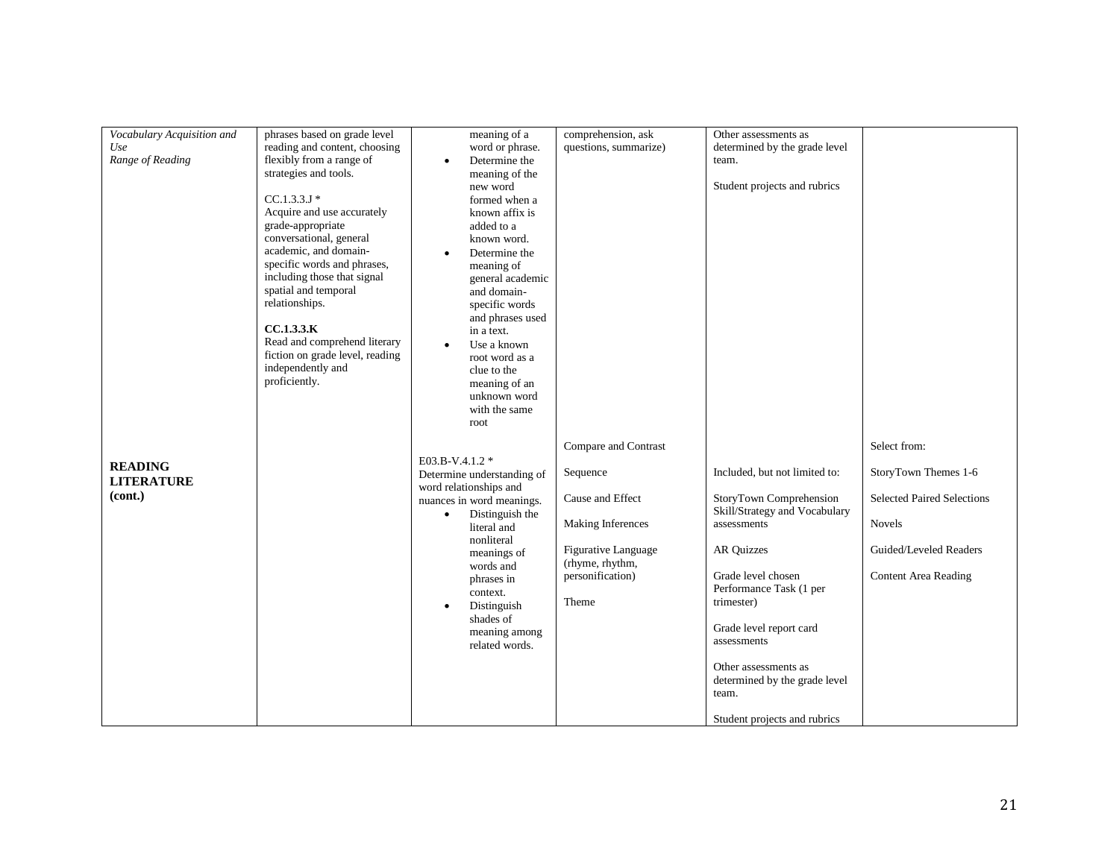| Vocabulary Acquisition and | phrases based on grade level    | meaning of a                               | comprehension, ask         | Other assessments as          |                                   |
|----------------------------|---------------------------------|--------------------------------------------|----------------------------|-------------------------------|-----------------------------------|
| Use                        | reading and content, choosing   | word or phrase.                            | questions, summarize)      | determined by the grade level |                                   |
| Range of Reading           | flexibly from a range of        | Determine the<br>$\bullet$                 |                            | team.                         |                                   |
|                            | strategies and tools.           | meaning of the                             |                            |                               |                                   |
|                            |                                 | new word                                   |                            | Student projects and rubrics  |                                   |
|                            | $CC.1.3.3.J*$                   | formed when a                              |                            |                               |                                   |
|                            | Acquire and use accurately      | known affix is                             |                            |                               |                                   |
|                            | grade-appropriate               | added to a                                 |                            |                               |                                   |
|                            | conversational, general         | known word.                                |                            |                               |                                   |
|                            | academic, and domain-           | Determine the                              |                            |                               |                                   |
|                            | specific words and phrases,     | meaning of                                 |                            |                               |                                   |
|                            | including those that signal     | general academic                           |                            |                               |                                   |
|                            | spatial and temporal            | and domain-                                |                            |                               |                                   |
|                            | relationships.                  | specific words                             |                            |                               |                                   |
|                            |                                 | and phrases used                           |                            |                               |                                   |
|                            | CC.1.3.3.K                      | in a text.                                 |                            |                               |                                   |
|                            | Read and comprehend literary    |                                            |                            |                               |                                   |
|                            | fiction on grade level, reading | Use a known<br>$\bullet$<br>root word as a |                            |                               |                                   |
|                            | independently and               |                                            |                            |                               |                                   |
|                            | proficiently.                   | clue to the                                |                            |                               |                                   |
|                            |                                 | meaning of an                              |                            |                               |                                   |
|                            |                                 | unknown word                               |                            |                               |                                   |
|                            |                                 | with the same                              |                            |                               |                                   |
|                            |                                 | root                                       |                            |                               |                                   |
|                            |                                 |                                            | Compare and Contrast       |                               | Select from:                      |
|                            |                                 | E03.B-V.4.1.2 *                            |                            |                               |                                   |
| <b>READING</b>             |                                 | Determine understanding of                 | Sequence                   | Included, but not limited to: | StoryTown Themes 1-6              |
| <b>LITERATURE</b>          |                                 | word relationships and                     |                            |                               |                                   |
| (cont.)                    |                                 | nuances in word meanings.                  | Cause and Effect           | StoryTown Comprehension       | <b>Selected Paired Selections</b> |
|                            |                                 | Distinguish the                            |                            | Skill/Strategy and Vocabulary |                                   |
|                            |                                 | $\bullet$                                  | Making Inferences          | assessments                   | <b>Novels</b>                     |
|                            |                                 | literal and<br>nonliteral                  |                            |                               |                                   |
|                            |                                 | meanings of                                | <b>Figurative Language</b> | <b>AR Quizzes</b>             | Guided/Leveled Readers            |
|                            |                                 | words and                                  | (rhyme, rhythm,            |                               |                                   |
|                            |                                 |                                            | personification)           | Grade level chosen            | <b>Content Area Reading</b>       |
|                            |                                 | phrases in                                 |                            | Performance Task (1 per       |                                   |
|                            |                                 | context.                                   | Theme                      | trimester)                    |                                   |
|                            |                                 | Distinguish<br>٠                           |                            |                               |                                   |
|                            |                                 | shades of                                  |                            | Grade level report card       |                                   |
|                            |                                 | meaning among                              |                            | assessments                   |                                   |
|                            |                                 | related words.                             |                            |                               |                                   |
|                            |                                 |                                            |                            | Other assessments as          |                                   |
|                            |                                 |                                            |                            | determined by the grade level |                                   |
|                            |                                 |                                            |                            |                               |                                   |
|                            |                                 |                                            |                            | team.                         |                                   |
|                            |                                 |                                            |                            |                               |                                   |
|                            |                                 |                                            |                            | Student projects and rubrics  |                                   |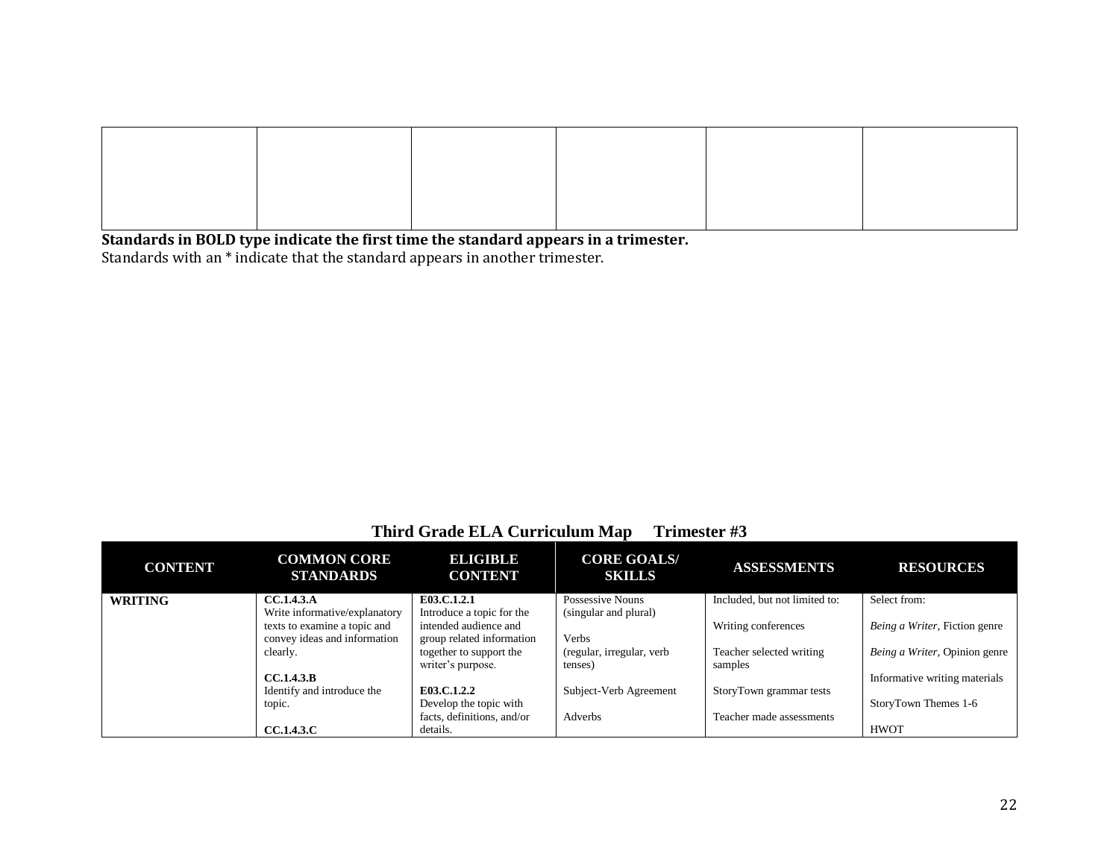**Standards in BOLD type indicate the first time the standard appears in a trimester.** Standards with an \* indicate that the standard appears in another trimester.

| <b>CONTENT</b> | <b>COMMON CORE</b><br><b>STANDARDS</b> | ELIGIBLE<br><b>CONTENT</b> | <b>CORE GOALS/</b><br><b>SKILLS</b> | <b>ASSESSMENTS</b>            | <b>RESOURCES</b>              |
|----------------|----------------------------------------|----------------------------|-------------------------------------|-------------------------------|-------------------------------|
| <b>WRITING</b> | <b>CC.1.4.3.A</b>                      | E03.C.1.2.1                | Possessive Nouns                    | Included, but not limited to: | Select from:                  |
|                | Write informative/explanatory          | Introduce a topic for the  | (singular and plural)               |                               |                               |
|                | texts to examine a topic and           | intended audience and      |                                     | Writing conferences           | Being a Writer, Fiction genre |
|                | convey ideas and information           | group related information  | <b>Verbs</b>                        |                               |                               |
|                | clearly.                               | together to support the    | (regular, irregular, verb           | Teacher selected writing      | Being a Writer, Opinion genre |
|                |                                        | writer's purpose.          | tenses)                             | samples                       |                               |
|                | <b>CC.1.4.3.B</b>                      |                            |                                     |                               | Informative writing materials |
|                | Identify and introduce the             | E03.C.1.2.2                | Subject-Verb Agreement              | StoryTown grammar tests       |                               |
|                | topic.                                 | Develop the topic with     |                                     |                               | StoryTown Themes 1-6          |
|                |                                        | facts, definitions, and/or | Adverbs                             | Teacher made assessments      |                               |
|                | <b>CC.1.4.3.C</b>                      | details.                   |                                     |                               | HWOT                          |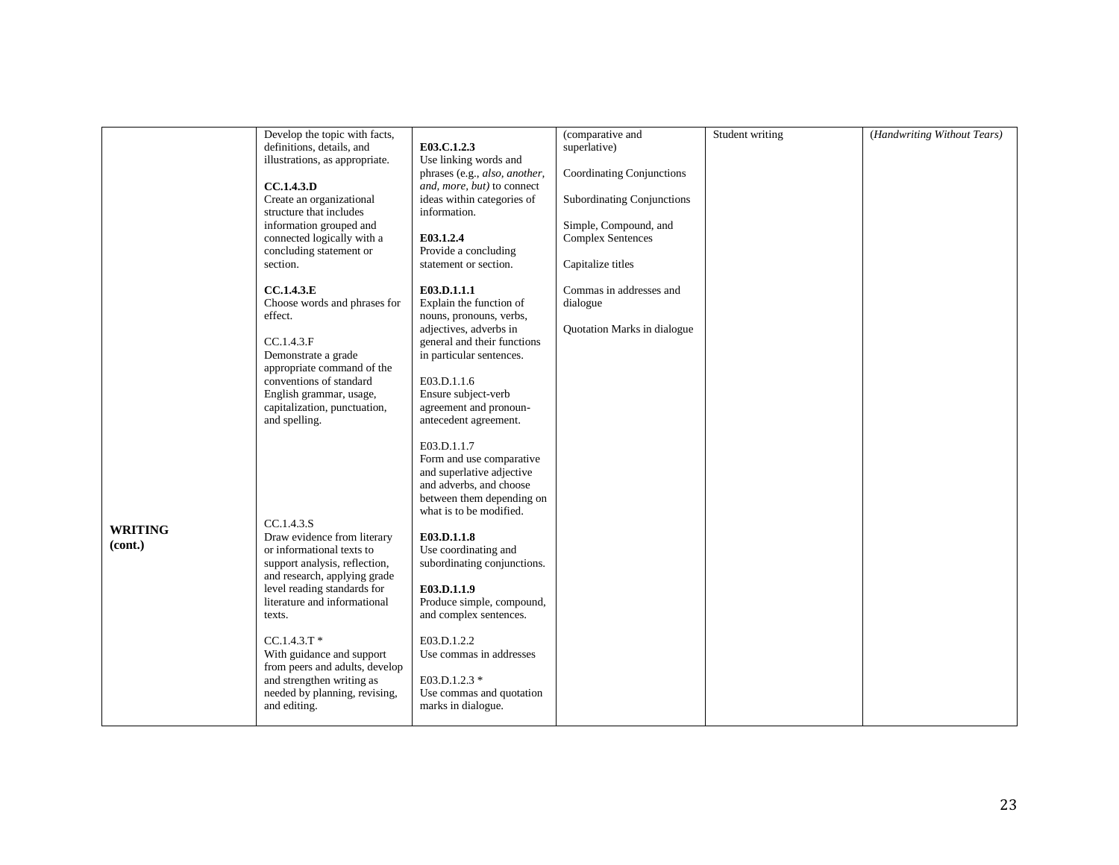|                | Develop the topic with facts,  |                               | (comparative and                  | Student writing | (Handwriting Without Tears) |
|----------------|--------------------------------|-------------------------------|-----------------------------------|-----------------|-----------------------------|
|                | definitions, details, and      | E03.C.1.2.3                   | superlative)                      |                 |                             |
|                | illustrations, as appropriate. | Use linking words and         |                                   |                 |                             |
|                |                                | phrases (e.g., also, another, | Coordinating Conjunctions         |                 |                             |
|                | CC.1.4.3.D                     |                               |                                   |                 |                             |
|                |                                | and, more, but) to connect    |                                   |                 |                             |
|                | Create an organizational       | ideas within categories of    | <b>Subordinating Conjunctions</b> |                 |                             |
|                | structure that includes        | information.                  |                                   |                 |                             |
|                | information grouped and        |                               | Simple, Compound, and             |                 |                             |
|                | connected logically with a     | E03.1.2.4                     | <b>Complex Sentences</b>          |                 |                             |
|                | concluding statement or        | Provide a concluding          |                                   |                 |                             |
|                |                                |                               |                                   |                 |                             |
|                | section.                       | statement or section.         | Capitalize titles                 |                 |                             |
|                | CC.1.4.3.E                     | E03.D.1.1.1                   | Commas in addresses and           |                 |                             |
|                | Choose words and phrases for   | Explain the function of       | dialogue                          |                 |                             |
|                |                                |                               |                                   |                 |                             |
|                | effect.                        | nouns, pronouns, verbs,       |                                   |                 |                             |
|                |                                | adjectives, adverbs in        | Quotation Marks in dialogue       |                 |                             |
|                | CC.1.4.3.F                     | general and their functions   |                                   |                 |                             |
|                | Demonstrate a grade            | in particular sentences.      |                                   |                 |                             |
|                | appropriate command of the     |                               |                                   |                 |                             |
|                | conventions of standard        | E03.D.1.1.6                   |                                   |                 |                             |
|                |                                |                               |                                   |                 |                             |
|                | English grammar, usage,        | Ensure subject-verb           |                                   |                 |                             |
|                | capitalization, punctuation,   | agreement and pronoun-        |                                   |                 |                             |
|                | and spelling.                  | antecedent agreement.         |                                   |                 |                             |
|                |                                |                               |                                   |                 |                             |
|                |                                | E03.D.1.1.7                   |                                   |                 |                             |
|                |                                | Form and use comparative      |                                   |                 |                             |
|                |                                | and superlative adjective     |                                   |                 |                             |
|                |                                |                               |                                   |                 |                             |
|                |                                | and adverbs, and choose       |                                   |                 |                             |
|                |                                | between them depending on     |                                   |                 |                             |
|                |                                | what is to be modified.       |                                   |                 |                             |
|                | CC.1.4.3.S                     |                               |                                   |                 |                             |
| <b>WRITING</b> | Draw evidence from literary    | E03.D.1.1.8                   |                                   |                 |                             |
| (cont.)        |                                |                               |                                   |                 |                             |
|                | or informational texts to      | Use coordinating and          |                                   |                 |                             |
|                | support analysis, reflection,  | subordinating conjunctions.   |                                   |                 |                             |
|                | and research, applying grade   |                               |                                   |                 |                             |
|                | level reading standards for    | E03.D.1.1.9                   |                                   |                 |                             |
|                | literature and informational   | Produce simple, compound,     |                                   |                 |                             |
|                | texts.                         | and complex sentences.        |                                   |                 |                             |
|                |                                |                               |                                   |                 |                             |
|                | $CC.1.4.3.T*$                  | E03.D.1.2.2                   |                                   |                 |                             |
|                |                                |                               |                                   |                 |                             |
|                | With guidance and support      | Use commas in addresses       |                                   |                 |                             |
|                | from peers and adults, develop |                               |                                   |                 |                             |
|                | and strengthen writing as      | E03.D.1.2.3 *                 |                                   |                 |                             |
|                | needed by planning, revising,  | Use commas and quotation      |                                   |                 |                             |
|                | and editing.                   | marks in dialogue.            |                                   |                 |                             |
|                |                                |                               |                                   |                 |                             |
|                |                                |                               |                                   |                 |                             |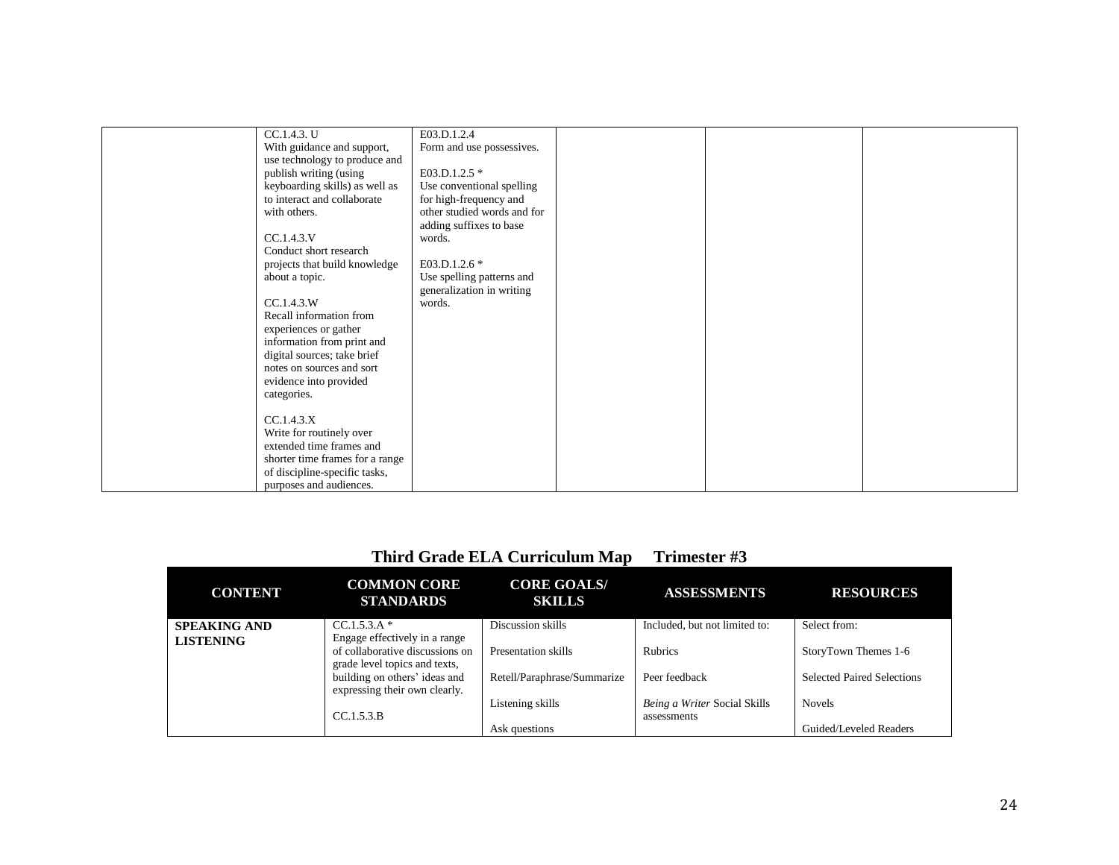| CC.1.4.3. U                     | E03.D.1.2.4                 |  |  |
|---------------------------------|-----------------------------|--|--|
| With guidance and support,      | Form and use possessives.   |  |  |
| use technology to produce and   |                             |  |  |
| publish writing (using          | E03.D.1.2.5 *               |  |  |
| keyboarding skills) as well as  | Use conventional spelling   |  |  |
| to interact and collaborate     | for high-frequency and      |  |  |
| with others.                    | other studied words and for |  |  |
|                                 | adding suffixes to base     |  |  |
| CC.1.4.3.V                      | words.                      |  |  |
| Conduct short research          |                             |  |  |
| projects that build knowledge   | E03.D.1.2.6 *               |  |  |
| about a topic.                  | Use spelling patterns and   |  |  |
|                                 | generalization in writing   |  |  |
| CC.1.4.3.W                      | words.                      |  |  |
| Recall information from         |                             |  |  |
| experiences or gather           |                             |  |  |
| information from print and      |                             |  |  |
| digital sources; take brief     |                             |  |  |
| notes on sources and sort       |                             |  |  |
| evidence into provided          |                             |  |  |
| categories.                     |                             |  |  |
|                                 |                             |  |  |
| CC.1.4.3.X                      |                             |  |  |
| Write for routinely over        |                             |  |  |
| extended time frames and        |                             |  |  |
| shorter time frames for a range |                             |  |  |
| of discipline-specific tasks,   |                             |  |  |
| purposes and audiences.         |                             |  |  |
|                                 |                             |  |  |

| <b>CONTENT</b>      | <b>COMMON CORE</b><br><b>STANDARDS</b>                                                            | <b>CORE GOALS/</b><br><b>SKILLS</b> | <b>ASSESSMENTS</b>                          | <b>RESOURCES</b>                  |
|---------------------|---------------------------------------------------------------------------------------------------|-------------------------------------|---------------------------------------------|-----------------------------------|
| <b>SPEAKING AND</b> | $CC.1.5.3.A*$                                                                                     | Discussion skills                   | Included, but not limited to:               | Select from:                      |
| <b>LISTENING</b>    | Engage effectively in a range<br>of collaborative discussions on<br>grade level topics and texts, | Presentation skills                 | <b>Rubrics</b>                              | StoryTown Themes 1-6              |
|                     | building on others' ideas and<br>expressing their own clearly.                                    | Retell/Paraphrase/Summarize         | Peer feedback                               | <b>Selected Paired Selections</b> |
|                     | CC.1.5.3.B                                                                                        | Listening skills                    | Being a Writer Social Skills<br>assessments | <b>Novels</b>                     |
|                     |                                                                                                   | Ask questions                       |                                             | Guided/Leveled Readers            |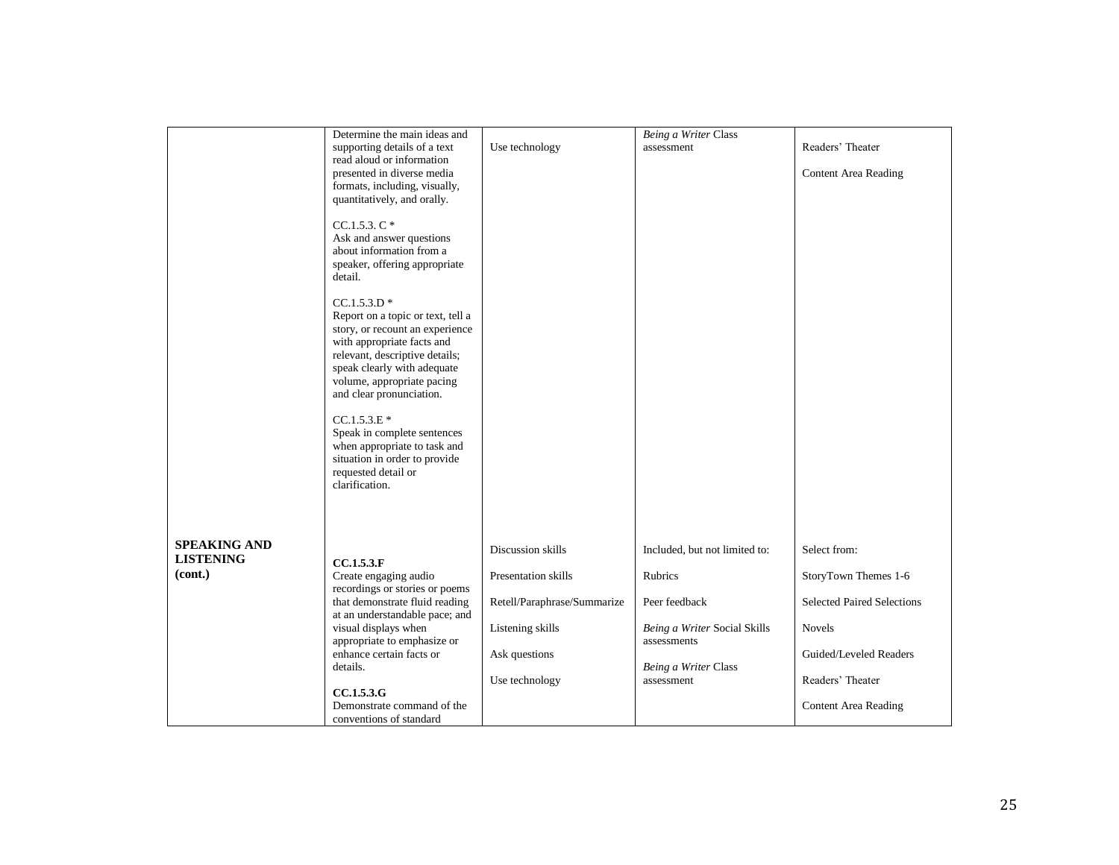|                     | Determine the main ideas and                                 |                             | Being a Writer Class          |                                   |
|---------------------|--------------------------------------------------------------|-----------------------------|-------------------------------|-----------------------------------|
|                     | supporting details of a text                                 | Use technology              | assessment                    | Readers' Theater                  |
|                     | read aloud or information                                    |                             |                               |                                   |
|                     | presented in diverse media                                   |                             |                               | <b>Content Area Reading</b>       |
|                     | formats, including, visually,                                |                             |                               |                                   |
|                     | quantitatively, and orally.                                  |                             |                               |                                   |
|                     |                                                              |                             |                               |                                   |
|                     | $CC.1.5.3. C*$                                               |                             |                               |                                   |
|                     | Ask and answer questions                                     |                             |                               |                                   |
|                     | about information from a                                     |                             |                               |                                   |
|                     | speaker, offering appropriate                                |                             |                               |                                   |
|                     | detail.                                                      |                             |                               |                                   |
|                     |                                                              |                             |                               |                                   |
|                     | $CC.1.5.3.D*$                                                |                             |                               |                                   |
|                     | Report on a topic or text, tell a                            |                             |                               |                                   |
|                     | story, or recount an experience                              |                             |                               |                                   |
|                     | with appropriate facts and<br>relevant, descriptive details; |                             |                               |                                   |
|                     | speak clearly with adequate                                  |                             |                               |                                   |
|                     | volume, appropriate pacing                                   |                             |                               |                                   |
|                     | and clear pronunciation.                                     |                             |                               |                                   |
|                     |                                                              |                             |                               |                                   |
|                     | $CC.1.5.3.E*$                                                |                             |                               |                                   |
|                     | Speak in complete sentences                                  |                             |                               |                                   |
|                     | when appropriate to task and                                 |                             |                               |                                   |
|                     | situation in order to provide                                |                             |                               |                                   |
|                     | requested detail or                                          |                             |                               |                                   |
|                     | clarification.                                               |                             |                               |                                   |
|                     |                                                              |                             |                               |                                   |
|                     |                                                              |                             |                               |                                   |
|                     |                                                              |                             |                               |                                   |
| <b>SPEAKING AND</b> |                                                              | Discussion skills           | Included, but not limited to: | Select from:                      |
| <b>LISTENING</b>    | CC.1.5.3.F                                                   |                             |                               |                                   |
| (cont.)             | Create engaging audio                                        | Presentation skills         | <b>Rubrics</b>                | StoryTown Themes 1-6              |
|                     | recordings or stories or poems                               |                             |                               |                                   |
|                     | that demonstrate fluid reading                               | Retell/Paraphrase/Summarize | Peer feedback                 | <b>Selected Paired Selections</b> |
|                     | at an understandable pace; and                               |                             |                               |                                   |
|                     | visual displays when                                         | Listening skills            | Being a Writer Social Skills  | <b>Novels</b>                     |
|                     | appropriate to emphasize or                                  |                             | assessments                   |                                   |
|                     | enhance certain facts or                                     | Ask questions               |                               | Guided/Leveled Readers            |
|                     | details.                                                     |                             | Being a Writer Class          |                                   |
|                     |                                                              | Use technology              | assessment                    | Readers' Theater                  |
|                     | CC.1.5.3.G                                                   |                             |                               |                                   |
|                     | Demonstrate command of the                                   |                             |                               | <b>Content Area Reading</b>       |
|                     | conventions of standard                                      |                             |                               |                                   |